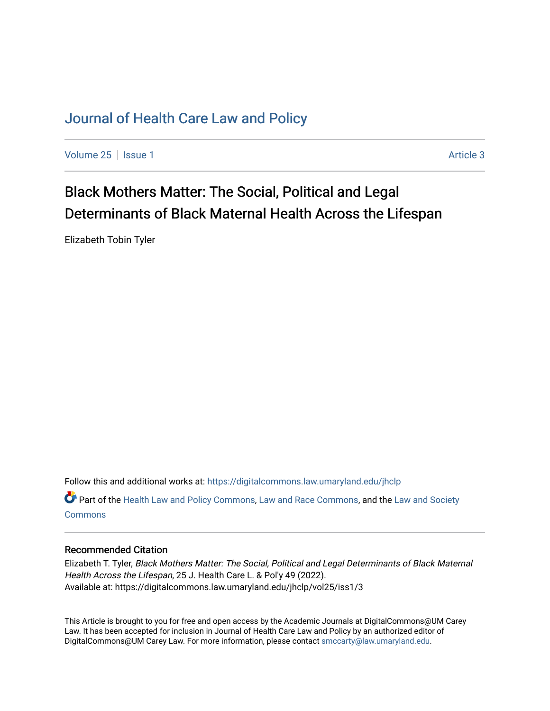# [Journal of Health Care Law and Policy](https://digitalcommons.law.umaryland.edu/jhclp)

[Volume 25](https://digitalcommons.law.umaryland.edu/jhclp/vol25) | [Issue 1](https://digitalcommons.law.umaryland.edu/jhclp/vol25/iss1) Article 3

# Black Mothers Matter: The Social, Political and Legal Determinants of Black Maternal Health Across the Lifespan

Elizabeth Tobin Tyler

Follow this and additional works at: [https://digitalcommons.law.umaryland.edu/jhclp](https://digitalcommons.law.umaryland.edu/jhclp?utm_source=digitalcommons.law.umaryland.edu%2Fjhclp%2Fvol25%2Fiss1%2F3&utm_medium=PDF&utm_campaign=PDFCoverPages) 

Part of the [Health Law and Policy Commons](http://network.bepress.com/hgg/discipline/901?utm_source=digitalcommons.law.umaryland.edu%2Fjhclp%2Fvol25%2Fiss1%2F3&utm_medium=PDF&utm_campaign=PDFCoverPages), [Law and Race Commons](http://network.bepress.com/hgg/discipline/1300?utm_source=digitalcommons.law.umaryland.edu%2Fjhclp%2Fvol25%2Fiss1%2F3&utm_medium=PDF&utm_campaign=PDFCoverPages), and the [Law and Society](http://network.bepress.com/hgg/discipline/853?utm_source=digitalcommons.law.umaryland.edu%2Fjhclp%2Fvol25%2Fiss1%2F3&utm_medium=PDF&utm_campaign=PDFCoverPages)  **[Commons](http://network.bepress.com/hgg/discipline/853?utm_source=digitalcommons.law.umaryland.edu%2Fjhclp%2Fvol25%2Fiss1%2F3&utm_medium=PDF&utm_campaign=PDFCoverPages)** 

# Recommended Citation

Elizabeth T. Tyler, Black Mothers Matter: The Social, Political and Legal Determinants of Black Maternal Health Across the Lifespan, 25 J. Health Care L. & Pol'y 49 (2022). Available at: https://digitalcommons.law.umaryland.edu/jhclp/vol25/iss1/3

This Article is brought to you for free and open access by the Academic Journals at DigitalCommons@UM Carey Law. It has been accepted for inclusion in Journal of Health Care Law and Policy by an authorized editor of DigitalCommons@UM Carey Law. For more information, please contact [smccarty@law.umaryland.edu.](mailto:smccarty@law.umaryland.edu)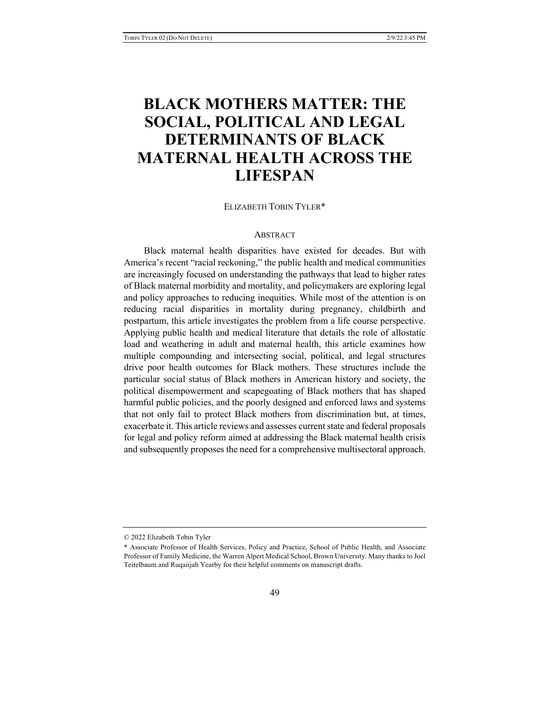# **BLACK MOTHERS MATTER: THE SOCIAL, POLITICAL AND LEGAL DETERMINANTS OF BLACK MATERNAL HEALTH ACROSS THE LIFESPAN**

ELIZABETH TOBIN TYLER\*

### **ABSTRACT**

Black maternal health disparities have existed for decades. But with America's recent "racial reckoning," the public health and medical communities are increasingly focused on understanding the pathways that lead to higher rates of Black maternal morbidity and mortality, and policymakers are exploring legal and policy approaches to reducing inequities. While most of the attention is on reducing racial disparities in mortality during pregnancy, childbirth and postpartum, this article investigates the problem from a life course perspective. Applying public health and medical literature that details the role of allostatic load and weathering in adult and maternal health, this article examines how multiple compounding and intersecting social, political, and legal structures drive poor health outcomes for Black mothers. These structures include the particular social status of Black mothers in American history and society, the political disempowerment and scapegoating of Black mothers that has shaped harmful public policies, and the poorly designed and enforced laws and systems that not only fail to protect Black mothers from discrimination but, at times, exacerbate it. This article reviews and assesses current state and federal proposals for legal and policy reform aimed at addressing the Black maternal health crisis and subsequently proposes the need for a comprehensive multisectoral approach.

<sup>© 2022</sup> Elizabeth Tobin Tyler

<sup>\*</sup> Associate Professor of Health Services, Policy and Practice, School of Public Health, and Associate Professor of Family Medicine, the Warren Alpert Medical School, Brown University. Many thanks to Joel Teitelbaum and Ruqaiijah Yearby for their helpful comments on manuscript drafts.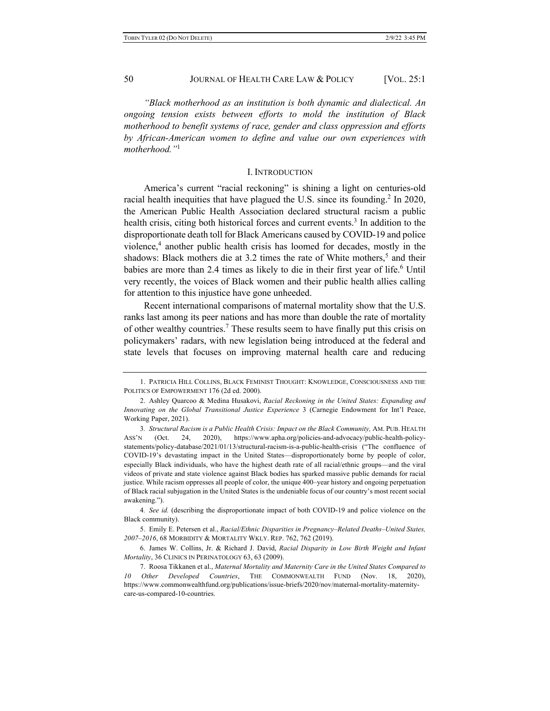*"Black motherhood as an institution is both dynamic and dialectical. An ongoing tension exists between efforts to mold the institution of Black motherhood to benefit systems of race, gender and class oppression and efforts by African-American women to define and value our own experiences with motherhood."*<sup>1</sup>

### I. INTRODUCTION

America's current "racial reckoning" is shining a light on centuries-old racial health inequities that have plagued the U.S. since its founding.<sup>2</sup> In 2020, the American Public Health Association declared structural racism a public health crisis, citing both historical forces and current events.<sup>3</sup> In addition to the disproportionate death toll for Black Americans caused by COVID-19 and police violence, $4$  another public health crisis has loomed for decades, mostly in the shadows: Black mothers die at 3.2 times the rate of White mothers,<sup>5</sup> and their babies are more than 2.4 times as likely to die in their first year of life.<sup>6</sup> Until very recently, the voices of Black women and their public health allies calling for attention to this injustice have gone unheeded.

Recent international comparisons of maternal mortality show that the U.S. ranks last among its peer nations and has more than double the rate of mortality of other wealthy countries.<sup>7</sup> These results seem to have finally put this crisis on policymakers' radars, with new legislation being introduced at the federal and state levels that focuses on improving maternal health care and reducing

4*. See id.* (describing the disproportionate impact of both COVID-19 and police violence on the Black community).

5. Emily E. Petersen et al., *Racial/Ethnic Disparities in Pregnancy–Related Deaths–United States, 2007–2016*, 68 MORBIDITY & MORTALITY WKLY. REP. 762, 762 (2019).

6. James W. Collins, Jr. & Richard J. David, *Racial Disparity in Low Birth Weight and Infant Mortality*, 36 CLINICS IN PERINATOLOGY 63, 63 (2009).

<sup>1.</sup> PATRICIA HILL COLLINS, BLACK FEMINIST THOUGHT: KNOWLEDGE, CONSCIOUSNESS AND THE POLITICS OF EMPOWERMENT 176 (2d ed. 2000).

<sup>2.</sup> Ashley Quarcoo & Medina Husakovi, *Racial Reckoning in the United States: Expanding and Innovating on the Global Transitional Justice Experience* 3 (Carnegie Endowment for Int'l Peace, Working Paper, 2021).

<sup>3</sup>*. Structural Racism is a Public Health Crisis: Impact on the Black Community,* AM. PUB. HEALTH ASS'N (Oct. 24, 2020), https://www.apha.org/policies-and-advocacy/public-health-policystatements/policy-database/2021/01/13/structural-racism-is-a-public-health-crisis ("The confluence of COVID-19's devastating impact in the United States—disproportionately borne by people of color, especially Black individuals, who have the highest death rate of all racial/ethnic groups—and the viral videos of private and state violence against Black bodies has sparked massive public demands for racial justice. While racism oppresses all people of color, the unique 400–year history and ongoing perpetuation of Black racial subjugation in the United States is the undeniable focus of our country's most recent social awakening.").

<sup>7.</sup> Roosa Tikkanen et al., *Maternal Mortality and Maternity Care in the United States Compared to 10 Other Developed Countries*, THE COMMONWEALTH FUND (Nov. 18, 2020), https://www.commonwealthfund.org/publications/issue-briefs/2020/nov/maternal-mortality-maternitycare-us-compared-10-countries.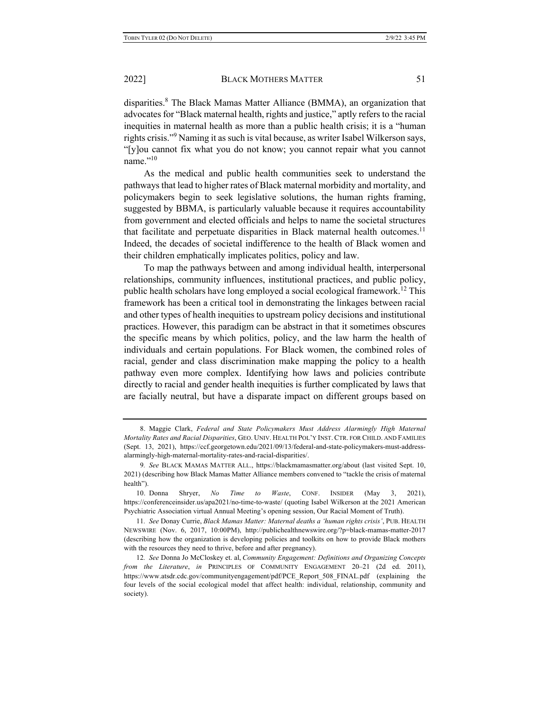disparities.<sup>8</sup> The Black Mamas Matter Alliance (BMMA), an organization that advocates for "Black maternal health, rights and justice," aptly refers to the racial inequities in maternal health as more than a public health crisis; it is a "human rights crisis."<sup>9</sup> Naming it as such is vital because, as writer Isabel Wilkerson says, "[y]ou cannot fix what you do not know; you cannot repair what you cannot name."<sup>10</sup>

As the medical and public health communities seek to understand the pathways that lead to higher rates of Black maternal morbidity and mortality, and policymakers begin to seek legislative solutions, the human rights framing, suggested by BBMA, is particularly valuable because it requires accountability from government and elected officials and helps to name the societal structures that facilitate and perpetuate disparities in Black maternal health outcomes.<sup>11</sup> Indeed, the decades of societal indifference to the health of Black women and their children emphatically implicates politics, policy and law.

To map the pathways between and among individual health, interpersonal relationships, community influences, institutional practices, and public policy, public health scholars have long employed a social ecological framework.<sup>12</sup> This framework has been a critical tool in demonstrating the linkages between racial and other types of health inequities to upstream policy decisions and institutional practices. However, this paradigm can be abstract in that it sometimes obscures the specific means by which politics, policy, and the law harm the health of individuals and certain populations. For Black women, the combined roles of racial, gender and class discrimination make mapping the policy to a health pathway even more complex. Identifying how laws and policies contribute directly to racial and gender health inequities is further complicated by laws that are facially neutral, but have a disparate impact on different groups based on

<sup>8.</sup> Maggie Clark, *Federal and State Policymakers Must Address Alarmingly High Maternal Mortality Rates and Racial Disparities*, GEO. UNIV. HEALTH POL'Y INST. CTR. FOR CHILD. AND FAMILIES (Sept. 13, 2021), https://ccf.georgetown.edu/2021/09/13/federal-and-state-policymakers-must-addressalarmingly-high-maternal-mortality-rates-and-racial-disparities/.

<sup>9</sup>*. See* BLACK MAMAS MATTER ALL., https://blackmamasmatter.org/about (last visited Sept. 10, 2021) (describing how Black Mamas Matter Alliance members convened to "tackle the crisis of maternal health").

<sup>10.</sup> Donna Shryer, *No Time to Waste*, CONF. INSIDER (May 3, 2021), https://conferenceinsider.us/apa2021/no-time-to-waste/ (quoting Isabel Wilkerson at the 2021 American Psychiatric Association virtual Annual Meeting's opening session, Our Racial Moment of Truth).

<sup>11</sup>*. See* Donay Currie, *Black Mamas Matter: Maternal deaths a 'human rights crisis'*, PUB. HEALTH NEWSWIRE (Nov. 6, 2017, 10:00PM), http://publichealthnewswire.org/?p=black-mamas-matter-2017 (describing how the organization is developing policies and toolkits on how to provide Black mothers with the resources they need to thrive, before and after pregnancy).

<sup>12</sup>*. See* Donna Jo McCloskey et. al, *Community Engagement: Definitions and Organizing Concepts from the Literature*, *in* PRINCIPLES OF COMMUNITY ENGAGEMENT 20–21 (2d ed. 2011), https://www.atsdr.cdc.gov/communityengagement/pdf/PCE\_Report\_508\_FINAL.pdf (explaining the four levels of the social ecological model that affect health: individual, relationship, community and society).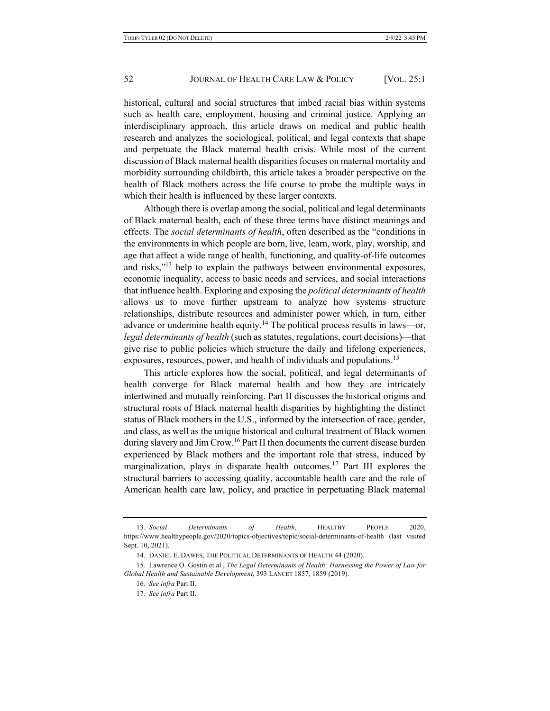historical, cultural and social structures that imbed racial bias within systems such as health care, employment, housing and criminal justice. Applying an interdisciplinary approach, this article draws on medical and public health research and analyzes the sociological, political, and legal contexts that shape and perpetuate the Black maternal health crisis. While most of the current discussion of Black maternal health disparities focuses on maternal mortality and morbidity surrounding childbirth, this article takes a broader perspective on the health of Black mothers across the life course to probe the multiple ways in which their health is influenced by these larger contexts.

Although there is overlap among the social, political and legal determinants of Black maternal health, each of these three terms have distinct meanings and effects. The *social determinants of health*, often described as the "conditions in the environments in which people are born, live, learn, work, play, worship, and age that affect a wide range of health, functioning, and quality-of-life outcomes and risks,"<sup>13</sup> help to explain the pathways between environmental exposures, economic inequality, access to basic needs and services, and social interactions that influence health. Exploring and exposing the *political determinants of health* allows us to move further upstream to analyze how systems structure relationships, distribute resources and administer power which, in turn, either advance or undermine health equity.<sup>14</sup> The political process results in laws—or, *legal determinants of health* (such as statutes, regulations, court decisions)—that give rise to public policies which structure the daily and lifelong experiences, exposures, resources, power, and health of individuals and populations.<sup>15</sup>

This article explores how the social, political, and legal determinants of health converge for Black maternal health and how they are intricately intertwined and mutually reinforcing. Part II discusses the historical origins and structural roots of Black maternal health disparities by highlighting the distinct status of Black mothers in the U.S., informed by the intersection of race, gender, and class, as well as the unique historical and cultural treatment of Black women during slavery and Jim Crow.<sup>16</sup> Part II then documents the current disease burden experienced by Black mothers and the important role that stress, induced by marginalization, plays in disparate health outcomes.<sup>17</sup> Part III explores the structural barriers to accessing quality, accountable health care and the role of American health care law, policy, and practice in perpetuating Black maternal

<sup>13</sup>*. Social Determinants of Health,* HEALTHY PEOPLE 2020, https://www.healthypeople.gov/2020/topics-objectives/topic/social-determinants-of-health (last visited Sept. 10, 2021).

<sup>14.</sup> DANIEL E. DAWES, THE POLITICAL DETERMINANTS OF HEALTH 44 (2020).

<sup>15.</sup> Lawrence O. Gostin et al., *The Legal Determinants of Health: Harnessing the Power of Law for Global Health and Sustainable Development*, 393 LANCET 1857, 1859 (2019).

<sup>16</sup>*. See infra* Part II.

<sup>17</sup>*. See infra* Part II.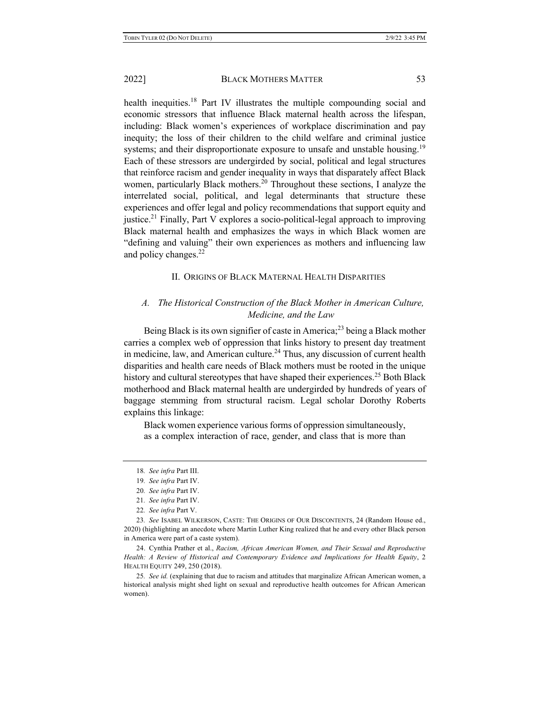health inequities.<sup>18</sup> Part IV illustrates the multiple compounding social and economic stressors that influence Black maternal health across the lifespan, including: Black women's experiences of workplace discrimination and pay inequity; the loss of their children to the child welfare and criminal justice systems; and their disproportionate exposure to unsafe and unstable housing.<sup>19</sup> Each of these stressors are undergirded by social, political and legal structures that reinforce racism and gender inequality in ways that disparately affect Black women, particularly Black mothers.<sup>20</sup> Throughout these sections, I analyze the interrelated social, political, and legal determinants that structure these experiences and offer legal and policy recommendations that support equity and justice.<sup>21</sup> Finally, Part V explores a socio-political-legal approach to improving Black maternal health and emphasizes the ways in which Black women are "defining and valuing" their own experiences as mothers and influencing law and policy changes.<sup>22</sup>

### II. ORIGINS OF BLACK MATERNAL HEALTH DISPARITIES

# *A. The Historical Construction of the Black Mother in American Culture, Medicine, and the Law*

Being Black is its own signifier of caste in America;<sup>23</sup> being a Black mother carries a complex web of oppression that links history to present day treatment in medicine, law, and American culture.<sup>24</sup> Thus, any discussion of current health disparities and health care needs of Black mothers must be rooted in the unique history and cultural stereotypes that have shaped their experiences.<sup>25</sup> Both Black motherhood and Black maternal health are undergirded by hundreds of years of baggage stemming from structural racism. Legal scholar Dorothy Roberts explains this linkage:

Black women experience various forms of oppression simultaneously, as a complex interaction of race, gender, and class that is more than

<sup>18</sup>*. See infra* Part III.

<sup>19</sup>*. See infra* Part IV.

<sup>20</sup>*. See infra* Part IV.

<sup>21</sup>*. See infra* Part IV.

<sup>22</sup>*. See infra* Part V.

<sup>23</sup>*. See* ISABEL WILKERSON, CASTE: THE ORIGINS OF OUR DISCONTENTS, 24 (Random House ed., 2020) (highlighting an anecdote where Martin Luther King realized that he and every other Black person in America were part of a caste system).

<sup>24.</sup> Cynthia Prather et al., *Racism, African American Women, and Their Sexual and Reproductive Health: A Review of Historical and Contemporary Evidence and Implications for Health Equity*, 2 HEALTH EQUITY 249, 250 (2018).

<sup>25</sup>*. See id.* (explaining that due to racism and attitudes that marginalize African American women, a historical analysis might shed light on sexual and reproductive health outcomes for African American women).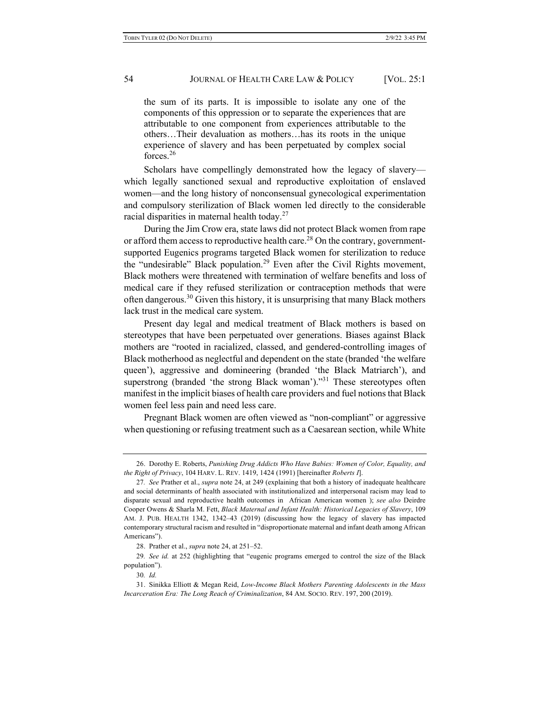the sum of its parts. It is impossible to isolate any one of the components of this oppression or to separate the experiences that are attributable to one component from experiences attributable to the others…Their devaluation as mothers…has its roots in the unique experience of slavery and has been perpetuated by complex social forces.<sup>26</sup>

Scholars have compellingly demonstrated how the legacy of slavery which legally sanctioned sexual and reproductive exploitation of enslaved women—and the long history of nonconsensual gynecological experimentation and compulsory sterilization of Black women led directly to the considerable racial disparities in maternal health today.<sup>27</sup>

During the Jim Crow era, state laws did not protect Black women from rape or afford them access to reproductive health care.<sup>28</sup> On the contrary, governmentsupported Eugenics programs targeted Black women for sterilization to reduce the "undesirable" Black population.<sup>29</sup> Even after the Civil Rights movement, Black mothers were threatened with termination of welfare benefits and loss of medical care if they refused sterilization or contraception methods that were often dangerous.<sup>30</sup> Given this history, it is unsurprising that many Black mothers lack trust in the medical care system.

Present day legal and medical treatment of Black mothers is based on stereotypes that have been perpetuated over generations. Biases against Black mothers are "rooted in racialized, classed, and gendered-controlling images of Black motherhood as neglectful and dependent on the state (branded 'the welfare queen'), aggressive and domineering (branded 'the Black Matriarch'), and superstrong (branded 'the strong Black woman'). $1^{31}$  These stereotypes often manifest in the implicit biases of health care providers and fuel notions that Black women feel less pain and need less care.

Pregnant Black women are often viewed as "non-compliant" or aggressive when questioning or refusing treatment such as a Caesarean section, while White

<sup>26.</sup> Dorothy E. Roberts, *Punishing Drug Addicts Who Have Babies: Women of Color, Equality, and the Right of Privacy*, 104 HARV. L. REV. 1419, 1424 (1991) [hereinafter *Roberts I*].

<sup>27</sup>*. See* Prather et al., *supra* note 24, at 249 (explaining that both a history of inadequate healthcare and social determinants of health associated with institutionalized and interpersonal racism may lead to disparate sexual and reproductive health outcomes in African American women ); *see also* Deirdre Cooper Owens & Sharla M. Fett, *Black Maternal and Infant Health: Historical Legacies of Slavery*, 109 AM. J. PUB. HEALTH 1342, 1342–43 (2019) (discussing how the legacy of slavery has impacted contemporary structural racism and resulted in "disproportionate maternal and infant death among African Americans").

<sup>28.</sup> Prather et al., *supra* note 24, at 251–52.

<sup>29</sup>*. See id.* at 252 (highlighting that "eugenic programs emerged to control the size of the Black population").

<sup>30</sup>*. Id.*

<sup>31.</sup> Sinikka Elliott & Megan Reid, *Low-Income Black Mothers Parenting Adolescents in the Mass Incarceration Era: The Long Reach of Criminalization*, 84 AM. SOCIO. REV. 197, 200 (2019).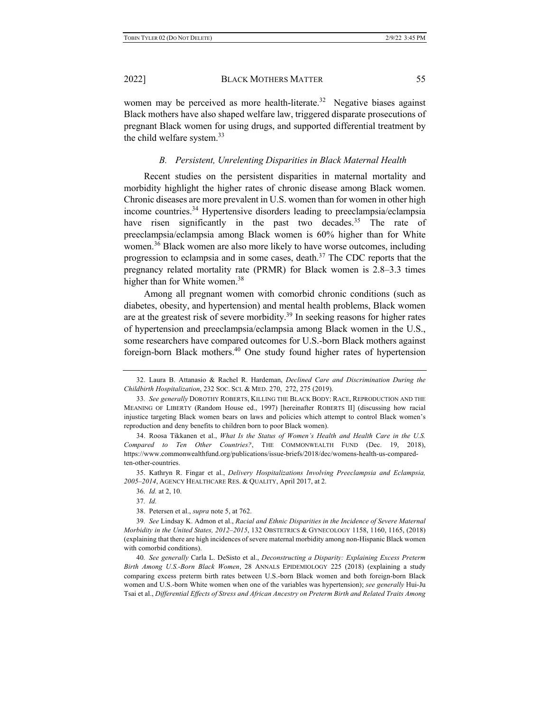women may be perceived as more health-literate.<sup>32</sup> Negative biases against Black mothers have also shaped welfare law, triggered disparate prosecutions of pregnant Black women for using drugs, and supported differential treatment by the child welfare system.<sup>33</sup>

### *B. Persistent, Unrelenting Disparities in Black Maternal Health*

Recent studies on the persistent disparities in maternal mortality and morbidity highlight the higher rates of chronic disease among Black women. Chronic diseases are more prevalent in U.S. women than for women in other high income countries.34 Hypertensive disorders leading to preeclampsia/eclampsia have risen significantly in the past two decades.<sup>35</sup> The rate of preeclampsia/eclampsia among Black women is 60% higher than for White women.<sup>36</sup> Black women are also more likely to have worse outcomes, including progression to eclampsia and in some cases, death.<sup>37</sup> The CDC reports that the pregnancy related mortality rate (PRMR) for Black women is 2.8–3.3 times higher than for White women.<sup>38</sup>

Among all pregnant women with comorbid chronic conditions (such as diabetes, obesity, and hypertension) and mental health problems, Black women are at the greatest risk of severe morbidity.<sup>39</sup> In seeking reasons for higher rates of hypertension and preeclampsia/eclampsia among Black women in the U.S., some researchers have compared outcomes for U.S.-born Black mothers against foreign-born Black mothers.40 One study found higher rates of hypertension

35. Kathryn R. Fingar et al., *Delivery Hospitalizations Involving Preeclampsia and Eclampsia, 2005–2014*, AGENCY HEALTHCARE RES. & QUALITY, April 2017, at 2.

36*. Id.* at 2, 10.

<sup>32.</sup> Laura B. Attanasio & Rachel R. Hardeman, *Declined Care and Discrimination During the Childbirth Hospitalization*, 232 SOC. SCI. & MED. 270, 272, 275 (2019).

<sup>33</sup>*. See generally* DOROTHY ROBERTS, KILLING THE BLACK BODY: RACE, REPRODUCTION AND THE MEANING OF LIBERTY (Random House ed., 1997) [hereinafter ROBERTS II] (discussing how racial injustice targeting Black women bears on laws and policies which attempt to control Black women's reproduction and deny benefits to children born to poor Black women).

<sup>34.</sup> Roosa Tikkanen et al., *What Is the Status of Women's Health and Health Care in the U.S. Compared to Ten Other Countries?*, THE COMMONWEALTH FUND (Dec. 19, 2018), https://www.commonwealthfund.org/publications/issue-briefs/2018/dec/womens-health-us-comparedten-other-countries.

<sup>37</sup>*. Id.*

<sup>38.</sup> Petersen et al., *supra* note 5, at 762.

<sup>39</sup>*. See* Lindsay K. Admon et al., *Racial and Ethnic Disparities in the Incidence of Severe Maternal Morbidity in the United States, 2012–2015*, 132 OBSTETRICS & GYNECOLOGY 1158, 1160, 1165, (2018) (explaining that there are high incidences of severe maternal morbidity among non-Hispanic Black women with comorbid conditions).

<sup>40</sup>*. See generally* Carla L. DeSisto et al., *Deconstructing a Disparity: Explaining Excess Preterm Birth Among U.S.-Born Black Women*, 28 ANNALS EPIDEMIOLOGY 225 (2018) (explaining a study comparing excess preterm birth rates between U.S.-born Black women and both foreign-born Black women and U.S.-born White women when one of the variables was hypertension); *see generally* Hui-Ju Tsai et al., *Differential Effects of Stress and African Ancestry on Preterm Birth and Related Traits Among*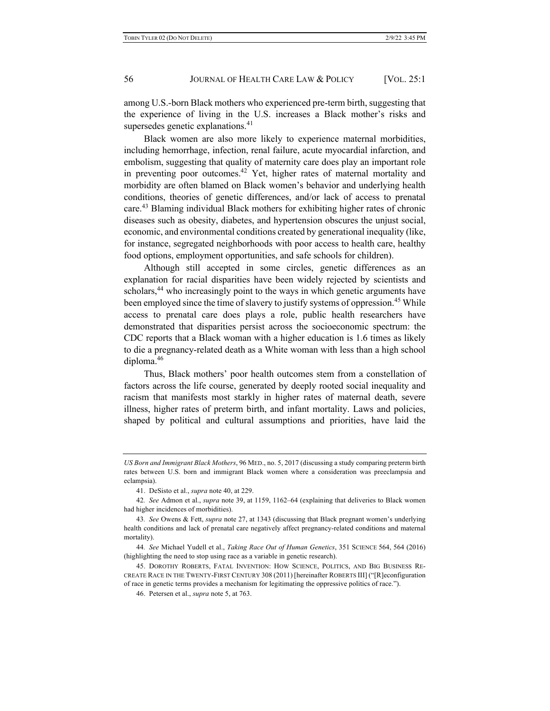among U.S.-born Black mothers who experienced pre-term birth, suggesting that the experience of living in the U.S. increases a Black mother's risks and supersedes genetic explanations.<sup>41</sup>

Black women are also more likely to experience maternal morbidities, including hemorrhage, infection, renal failure, acute myocardial infarction, and embolism, suggesting that quality of maternity care does play an important role in preventing poor outcomes.<sup>42</sup> Yet, higher rates of maternal mortality and morbidity are often blamed on Black women's behavior and underlying health conditions, theories of genetic differences, and/or lack of access to prenatal care.<sup>43</sup> Blaming individual Black mothers for exhibiting higher rates of chronic diseases such as obesity, diabetes, and hypertension obscures the unjust social, economic, and environmental conditions created by generational inequality (like, for instance, segregated neighborhoods with poor access to health care, healthy food options, employment opportunities, and safe schools for children).

Although still accepted in some circles, genetic differences as an explanation for racial disparities have been widely rejected by scientists and scholars,<sup>44</sup> who increasingly point to the ways in which genetic arguments have been employed since the time of slavery to justify systems of oppression.<sup>45</sup> While access to prenatal care does plays a role, public health researchers have demonstrated that disparities persist across the socioeconomic spectrum: the CDC reports that a Black woman with a higher education is 1.6 times as likely to die a pregnancy-related death as a White woman with less than a high school diploma.46

Thus, Black mothers' poor health outcomes stem from a constellation of factors across the life course, generated by deeply rooted social inequality and racism that manifests most starkly in higher rates of maternal death, severe illness, higher rates of preterm birth, and infant mortality. Laws and policies, shaped by political and cultural assumptions and priorities, have laid the

*US Born and Immigrant Black Mothers*, 96 MED., no. 5, 2017 (discussing a study comparing preterm birth rates between U.S. born and immigrant Black women where a consideration was preeclampsia and eclampsia).

<sup>41.</sup> DeSisto et al., *supra* note 40, at 229.

<sup>42</sup>*. See* Admon et al., *supra* note 39, at 1159, 1162–64 (explaining that deliveries to Black women had higher incidences of morbidities).

<sup>43</sup>*. See* Owens & Fett, *supra* note 27, at 1343 (discussing that Black pregnant women's underlying health conditions and lack of prenatal care negatively affect pregnancy-related conditions and maternal mortality).

<sup>44</sup>*. See* Michael Yudell et al., *Taking Race Out of Human Genetics*, 351 SCIENCE 564, 564 (2016) (highlighting the need to stop using race as a variable in genetic research).

<sup>45.</sup> DOROTHY ROBERTS, FATAL INVENTION: HOW SCIENCE, POLITICS, AND BIG BUSINESS RE-CREATE RACE IN THE TWENTY-FIRST CENTURY 308 (2011) [hereinafter ROBERTS III] ("[R]econfiguration of race in genetic terms provides a mechanism for legitimating the oppressive politics of race.").

<sup>46.</sup> Petersen et al., *supra* note 5, at 763.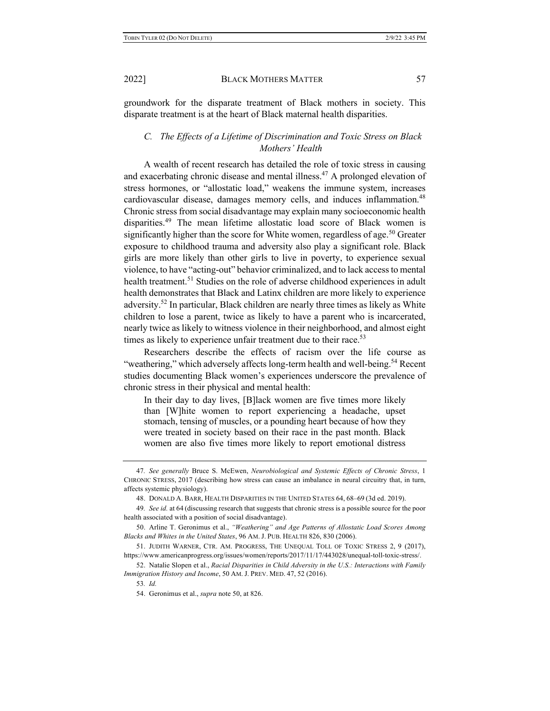groundwork for the disparate treatment of Black mothers in society. This disparate treatment is at the heart of Black maternal health disparities.

# *C. The Effects of a Lifetime of Discrimination and Toxic Stress on Black Mothers' Health*

A wealth of recent research has detailed the role of toxic stress in causing and exacerbating chronic disease and mental illness.47 A prolonged elevation of stress hormones, or "allostatic load," weakens the immune system, increases cardiovascular disease, damages memory cells, and induces inflammation.48 Chronic stress from social disadvantage may explain many socioeconomic health disparities.<sup>49</sup> The mean lifetime allostatic load score of Black women is significantly higher than the score for White women, regardless of age.<sup>50</sup> Greater exposure to childhood trauma and adversity also play a significant role. Black girls are more likely than other girls to live in poverty, to experience sexual violence, to have "acting-out" behavior criminalized, and to lack access to mental health treatment.<sup>51</sup> Studies on the role of adverse childhood experiences in adult health demonstrates that Black and Latinx children are more likely to experience adversity.<sup>52</sup> In particular, Black children are nearly three times as likely as White children to lose a parent, twice as likely to have a parent who is incarcerated, nearly twice as likely to witness violence in their neighborhood, and almost eight times as likely to experience unfair treatment due to their race.<sup>53</sup>

Researchers describe the effects of racism over the life course as "weathering," which adversely affects long-term health and well-being.<sup>54</sup> Recent studies documenting Black women's experiences underscore the prevalence of chronic stress in their physical and mental health:

In their day to day lives, [B]lack women are five times more likely than [W]hite women to report experiencing a headache, upset stomach, tensing of muscles, or a pounding heart because of how they were treated in society based on their race in the past month. Black women are also five times more likely to report emotional distress

<sup>47</sup>*. See generally* Bruce S. McEwen, *Neurobiological and Systemic Effects of Chronic Stress*, 1 CHRONIC STRESS, 2017 (describing how stress can cause an imbalance in neural circuitry that, in turn, affects systemic physiology).

<sup>48.</sup> DONALD A. BARR, HEALTH DISPARITIES IN THE UNITED STATES 64, 68–69 (3d ed. 2019).

<sup>49</sup>*. See id.* at 64 (discussing research that suggests that chronic stress is a possible source for the poor health associated with a position of social disadvantage).

<sup>50.</sup> Arline T. Geronimus et al., *"Weathering" and Age Patterns of Allostatic Load Scores Among Blacks and Whites in the United States*, 96 AM. J. PUB. HEALTH 826, 830 (2006).

<sup>51.</sup> JUDITH WARNER, CTR. AM. PROGRESS, THE UNEQUAL TOLL OF TOXIC STRESS 2, 9 (2017), https://www.americanprogress.org/issues/women/reports/2017/11/17/443028/unequal-toll-toxic-stress/.

<sup>52.</sup> Natalie Slopen et al., *Racial Disparities in Child Adversity in the U.S.: Interactions with Family Immigration History and Income*, 50 AM. J. PREV. MED. 47, 52 (2016).

<sup>53</sup>*. Id.*

<sup>54.</sup> Geronimus et al., *supra* note 50, at 826.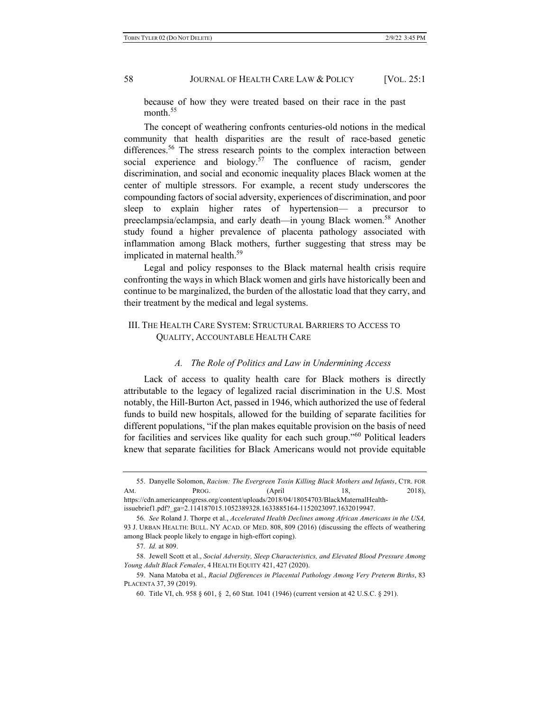because of how they were treated based on their race in the past month.<sup>55</sup>

The concept of weathering confronts centuries-old notions in the medical community that health disparities are the result of race-based genetic differences.<sup>56</sup> The stress research points to the complex interaction between social experience and biology.<sup>57</sup> The confluence of racism, gender discrimination, and social and economic inequality places Black women at the center of multiple stressors. For example, a recent study underscores the compounding factors of social adversity, experiences of discrimination, and poor sleep to explain higher rates of hypertension— a precursor to preeclampsia/eclampsia, and early death—in young Black women.<sup>58</sup> Another study found a higher prevalence of placenta pathology associated with inflammation among Black mothers, further suggesting that stress may be implicated in maternal health.<sup>59</sup>

Legal and policy responses to the Black maternal health crisis require confronting the ways in which Black women and girls have historically been and continue to be marginalized, the burden of the allostatic load that they carry, and their treatment by the medical and legal systems.

# III. THE HEALTH CARE SYSTEM: STRUCTURAL BARRIERS TO ACCESS TO QUALITY, ACCOUNTABLE HEALTH CARE

### *A. The Role of Politics and Law in Undermining Access*

Lack of access to quality health care for Black mothers is directly attributable to the legacy of legalized racial discrimination in the U.S. Most notably, the Hill-Burton Act, passed in 1946, which authorized the use of federal funds to build new hospitals, allowed for the building of separate facilities for different populations, "if the plan makes equitable provision on the basis of need for facilities and services like quality for each such group."<sup>60</sup> Political leaders knew that separate facilities for Black Americans would not provide equitable

<sup>55.</sup> Danyelle Solomon, *Racism: The Evergreen Toxin Killing Black Mothers and Infants*, CTR. FOR AM. **PROG.** (April 18, 2018), https://cdn.americanprogress.org/content/uploads/2018/04/18054703/BlackMaternalHealth-

issuebrief1.pdf?\_ga=2.114187015.1052389328.1633885164-1152023097.1632019947.

<sup>56</sup>*. See* Roland J. Thorpe et al., *Accelerated Health Declines among African Americans in the USA,* 93 J. URBAN HEALTH: BULL. NY ACAD. OF MED. 808, 809 (2016) (discussing the effects of weathering among Black people likely to engage in high-effort coping).

<sup>57</sup>*. Id.* at 809.

<sup>58.</sup> Jewell Scott et al., *Social Adversity, Sleep Characteristics, and Elevated Blood Pressure Among Young Adult Black Females*, 4 HEALTH EQUITY 421, 427 (2020).

<sup>59.</sup> Nana Matoba et al., *Racial Differences in Placental Pathology Among Very Preterm Births*, 83 PLACENTA 37, 39 (2019).

<sup>60.</sup> Title VI, ch. 958 § 601, § 2, 60 Stat. 1041 (1946) (current version at 42 U.S.C. § 291).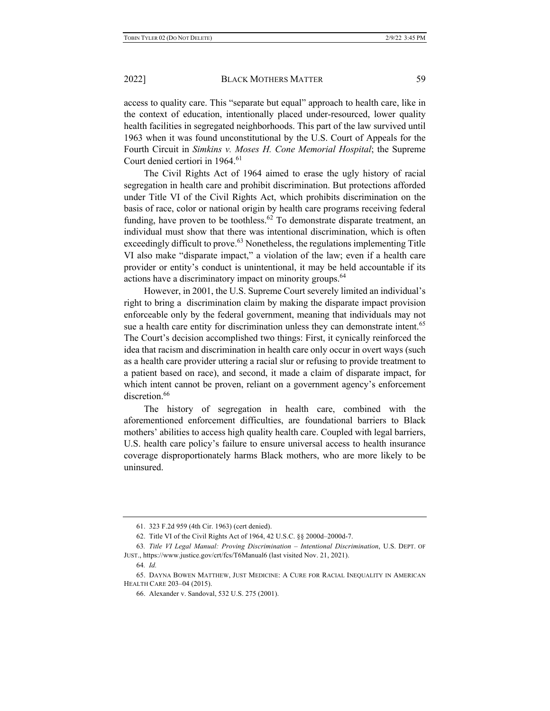access to quality care. This "separate but equal" approach to health care, like in the context of education, intentionally placed under-resourced, lower quality health facilities in segregated neighborhoods. This part of the law survived until 1963 when it was found unconstitutional by the U.S. Court of Appeals for the Fourth Circuit in *Simkins v. Moses H. Cone Memorial Hospital*; the Supreme Court denied certiori in 1964.<sup>61</sup>

The Civil Rights Act of 1964 aimed to erase the ugly history of racial segregation in health care and prohibit discrimination. But protections afforded under Title VI of the Civil Rights Act, which prohibits discrimination on the basis of race, color or national origin by health care programs receiving federal funding, have proven to be toothless.<sup>62</sup> To demonstrate disparate treatment, an individual must show that there was intentional discrimination, which is often exceedingly difficult to prove.<sup>63</sup> Nonetheless, the regulations implementing Title VI also make "disparate impact," a violation of the law; even if a health care provider or entity's conduct is unintentional, it may be held accountable if its actions have a discriminatory impact on minority groups.<sup>64</sup>

However, in 2001, the U.S. Supreme Court severely limited an individual's right to bring a discrimination claim by making the disparate impact provision enforceable only by the federal government, meaning that individuals may not sue a health care entity for discrimination unless they can demonstrate intent.<sup>65</sup> The Court's decision accomplished two things: First, it cynically reinforced the idea that racism and discrimination in health care only occur in overt ways (such as a health care provider uttering a racial slur or refusing to provide treatment to a patient based on race), and second, it made a claim of disparate impact, for which intent cannot be proven, reliant on a government agency's enforcement discretion.<sup>66</sup>

The history of segregation in health care, combined with the aforementioned enforcement difficulties, are foundational barriers to Black mothers' abilities to access high quality health care. Coupled with legal barriers, U.S. health care policy's failure to ensure universal access to health insurance coverage disproportionately harms Black mothers, who are more likely to be uninsured.

<sup>61.</sup> 323 F.2d 959 (4th Cir. 1963) (cert denied).

<sup>62.</sup> Title VI of the Civil Rights Act of 1964, 42 U.S.C. §§ 2000d–2000d-7.

<sup>63</sup>*. Title VI Legal Manual: Proving Discrimination – Intentional Discrimination*, U.S. DEPT. OF JUST., https://www.justice.gov/crt/fcs/T6Manual6 (last visited Nov. 21, 2021).

<sup>64</sup>*. Id.*

<sup>65.</sup> DAYNA BOWEN MATTHEW, JUST MEDICINE: A CURE FOR RACIAL INEQUALITY IN AMERICAN HEALTH CARE 203–04 (2015).

<sup>66.</sup> Alexander v. Sandoval, 532 U.S. 275 (2001).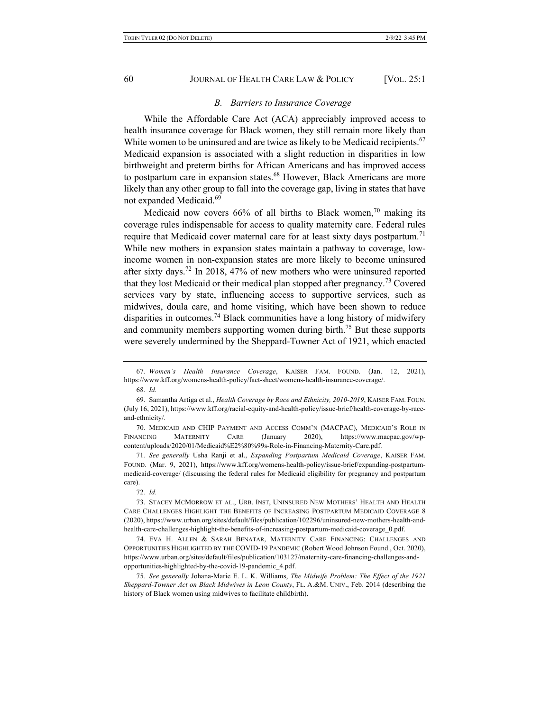### *B. Barriers to Insurance Coverage*

While the Affordable Care Act (ACA) appreciably improved access to health insurance coverage for Black women, they still remain more likely than White women to be uninsured and are twice as likely to be Medicaid recipients.<sup>67</sup> Medicaid expansion is associated with a slight reduction in disparities in low birthweight and preterm births for African Americans and has improved access to postpartum care in expansion states.<sup>68</sup> However, Black Americans are more likely than any other group to fall into the coverage gap, living in states that have not expanded Medicaid.<sup>69</sup>

Medicaid now covers  $66%$  of all births to Black women,<sup>70</sup> making its coverage rules indispensable for access to quality maternity care. Federal rules require that Medicaid cover maternal care for at least sixty days postpartum.<sup>71</sup> While new mothers in expansion states maintain a pathway to coverage, lowincome women in non-expansion states are more likely to become uninsured after sixty days.<sup>72</sup> In 2018, 47% of new mothers who were uninsured reported that they lost Medicaid or their medical plan stopped after pregnancy.<sup>73</sup> Covered services vary by state, influencing access to supportive services, such as midwives, doula care, and home visiting, which have been shown to reduce disparities in outcomes.<sup>74</sup> Black communities have a long history of midwifery and community members supporting women during birth.<sup>75</sup> But these supports were severely undermined by the Sheppard-Towner Act of 1921, which enacted

71*. See generally* Usha Ranji et al., *Expanding Postpartum Medicaid Coverage*, KAISER FAM. FOUND. (Mar. 9, 2021), https://www.kff.org/womens-health-policy/issue-brief/expanding-postpartummedicaid-coverage/ (discussing the federal rules for Medicaid eligibility for pregnancy and postpartum care).

74. EVA H. ALLEN & SARAH BENATAR, MATERNITY CARE FINANCING: CHALLENGES AND OPPORTUNITIES HIGHLIGHTED BY THE COVID-19 PANDEMIC (Robert Wood Johnson Found., Oct. 2020), https://www.urban.org/sites/default/files/publication/103127/maternity-care-financing-challenges-andopportunities-highlighted-by-the-covid-19-pandemic\_4.pdf.

75*. See generally* Johana-Marie E. L. K. Williams, *The Midwife Problem: The Effect of the 1921 Sheppard-Towner Act on Black Midwives in Leon County*, FL. A.&M. UNIV., Feb. 2014 (describing the history of Black women using midwives to facilitate childbirth).

<sup>67</sup>*. Women's Health Insurance Coverage*, KAISER FAM. FOUND. (Jan. 12, 2021), https://www.kff.org/womens-health-policy/fact-sheet/womens-health-insurance-coverage/.

<sup>68</sup>*. Id.*

<sup>69.</sup> Samantha Artiga et al., *Health Coverage by Race and Ethnicity, 2010-2019*, KAISER FAM. FOUN. (July 16, 2021), https://www.kff.org/racial-equity-and-health-policy/issue-brief/health-coverage-by-raceand-ethnicity/.

<sup>70.</sup> MEDICAID AND CHIP PAYMENT AND ACCESS COMM'N (MACPAC), MEDICAID'S ROLE IN FINANCING MATERNITY CARE (January 2020), https://www.macpac.gov/wpcontent/uploads/2020/01/Medicaid%E2%80%99s-Role-in-Financing-Maternity-Care.pdf.

<sup>72</sup>*. Id.*

<sup>73.</sup> STACEY MCMORROW ET AL., URB. INST, UNINSURED NEW MOTHERS' HEALTH AND HEALTH CARE CHALLENGES HIGHLIGHT THE BENEFITS OF INCREASING POSTPARTUM MEDICAID COVERAGE 8 (2020), https://www.urban.org/sites/default/files/publication/102296/uninsured-new-mothers-health-andhealth-care-challenges-highlight-the-benefits-of-increasing-postpartum-medicaid-coverage\_0.pdf.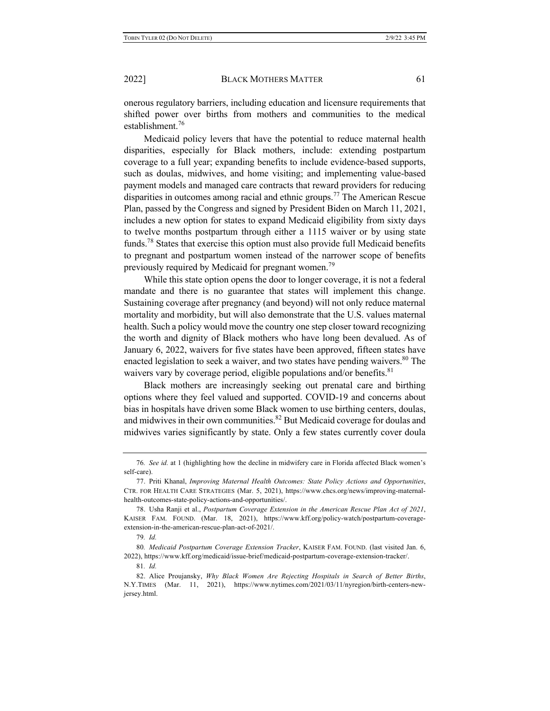onerous regulatory barriers, including education and licensure requirements that shifted power over births from mothers and communities to the medical establishment.<sup>76</sup>

Medicaid policy levers that have the potential to reduce maternal health disparities, especially for Black mothers, include: extending postpartum coverage to a full year; expanding benefits to include evidence-based supports, such as doulas, midwives, and home visiting; and implementing value-based payment models and managed care contracts that reward providers for reducing disparities in outcomes among racial and ethnic groups.<sup>77</sup> The American Rescue Plan, passed by the Congress and signed by President Biden on March 11, 2021, includes a new option for states to expand Medicaid eligibility from sixty days to twelve months postpartum through either a 1115 waiver or by using state funds.<sup>78</sup> States that exercise this option must also provide full Medicaid benefits to pregnant and postpartum women instead of the narrower scope of benefits previously required by Medicaid for pregnant women.<sup>79</sup>

While this state option opens the door to longer coverage, it is not a federal mandate and there is no guarantee that states will implement this change. Sustaining coverage after pregnancy (and beyond) will not only reduce maternal mortality and morbidity, but will also demonstrate that the U.S. values maternal health. Such a policy would move the country one step closer toward recognizing the worth and dignity of Black mothers who have long been devalued. As of January 6, 2022, waivers for five states have been approved, fifteen states have enacted legislation to seek a waiver, and two states have pending waivers.<sup>80</sup> The waivers vary by coverage period, eligible populations and/or benefits.<sup>81</sup>

Black mothers are increasingly seeking out prenatal care and birthing options where they feel valued and supported. COVID-19 and concerns about bias in hospitals have driven some Black women to use birthing centers, doulas, and midwives in their own communities.<sup>82</sup> But Medicaid coverage for doulas and midwives varies significantly by state. Only a few states currently cover doula

<sup>76</sup>*. See id.* at 1 (highlighting how the decline in midwifery care in Florida affected Black women's self-care).

<sup>77.</sup> Priti Khanal, *Improving Maternal Health Outcomes: State Policy Actions and Opportunities*, CTR. FOR HEALTH CARE STRATEGIES (Mar. 5, 2021), https://www.chcs.org/news/improving-maternalhealth-outcomes-state-policy-actions-and-opportunities/.

<sup>78.</sup> Usha Ranji et al., *Postpartum Coverage Extension in the American Rescue Plan Act of 2021*, KAISER FAM. FOUND. (Mar. 18, 2021), https://www.kff.org/policy-watch/postpartum-coverageextension-in-the-american-rescue-plan-act-of-2021/.

<sup>79</sup>*. Id.*

<sup>80</sup>*. Medicaid Postpartum Coverage Extension Tracker*, KAISER FAM. FOUND. (last visited Jan. 6, 2022), https://www.kff.org/medicaid/issue-brief/medicaid-postpartum-coverage-extension-tracker/.

<sup>81</sup>*. Id.*

<sup>82.</sup> Alice Proujansky, *Why Black Women Are Rejecting Hospitals in Search of Better Births*, N.Y.TIMES (Mar. 11, 2021), https://www.nytimes.com/2021/03/11/nyregion/birth-centers-newjersey.html.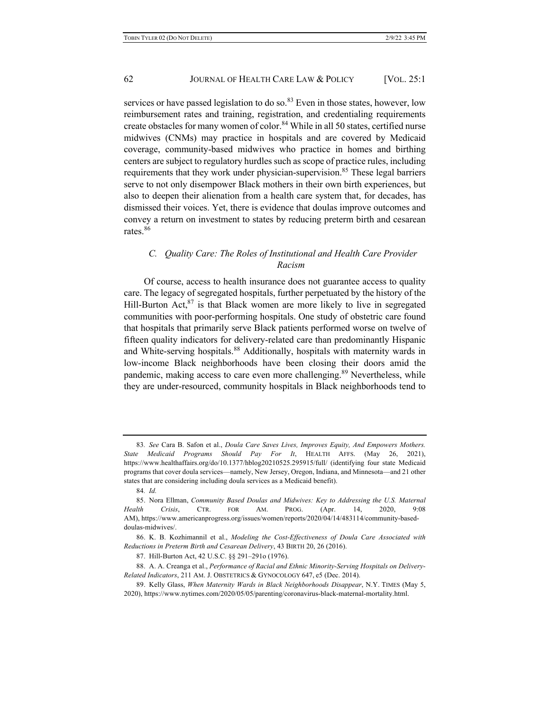services or have passed legislation to do so. $83$  Even in those states, however, low reimbursement rates and training, registration, and credentialing requirements create obstacles for many women of color.<sup>84</sup> While in all 50 states, certified nurse midwives (CNMs) may practice in hospitals and are covered by Medicaid coverage, community-based midwives who practice in homes and birthing centers are subject to regulatory hurdles such as scope of practice rules, including requirements that they work under physician-supervision.<sup>85</sup> These legal barriers serve to not only disempower Black mothers in their own birth experiences, but also to deepen their alienation from a health care system that, for decades, has dismissed their voices. Yet, there is evidence that doulas improve outcomes and convey a return on investment to states by reducing preterm birth and cesarean rates.<sup>86</sup>

# *C. Quality Care: The Roles of Institutional and Health Care Provider Racism*

Of course, access to health insurance does not guarantee access to quality care. The legacy of segregated hospitals, further perpetuated by the history of the Hill-Burton Act,  $87$  is that Black women are more likely to live in segregated communities with poor-performing hospitals. One study of obstetric care found that hospitals that primarily serve Black patients performed worse on twelve of fifteen quality indicators for delivery-related care than predominantly Hispanic and White-serving hospitals.<sup>88</sup> Additionally, hospitals with maternity wards in low-income Black neighborhoods have been closing their doors amid the pandemic, making access to care even more challenging.<sup>89</sup> Nevertheless, while they are under-resourced, community hospitals in Black neighborhoods tend to

<sup>83</sup>*. See* Cara B. Safon et al., *Doula Care Saves Lives, Improves Equity, And Empowers Mothers. State Medicaid Programs Should Pay For It*, HEALTH AFFS. (May 26, 2021), https://www.healthaffairs.org/do/10.1377/hblog20210525.295915/full/ (identifying four state Medicaid programs that cover doula services—namely, New Jersey, Oregon, Indiana, and Minnesota—and 21 other states that are considering including doula services as a Medicaid benefit).

<sup>84</sup>*. Id.*

<sup>85.</sup> Nora Ellman, *Community Based Doulas and Midwives: Key to Addressing the U.S. Maternal Health Crisis*, CTR. FOR AM. PROG. (Apr. 14, 2020, 9:08 AM), https://www.americanprogress.org/issues/women/reports/2020/04/14/483114/community-baseddoulas-midwives/.

<sup>86.</sup> K. B. Kozhimannil et al., *Modeling the Cost-Effectiveness of Doula Care Associated with Reductions in Preterm Birth and Cesarean Delivery*, 43 BIRTH 20, 26 (2016).

<sup>87.</sup> Hill-Burton Act, 42 U.S.C. §§ 291–291o (1976).

<sup>88.</sup> A. A. Creanga et al., *Performance of Racial and Ethnic Minority-Serving Hospitals on Delivery-Related Indicators*, 211 AM. J. OBSTETRICS & GYNOCOLOGY 647, e5 (Dec. 2014).

<sup>89.</sup> Kelly Glass, *When Maternity Wards in Black Neighborhoods Disappear*, N.Y. TIMES (May 5, 2020), https://www.nytimes.com/2020/05/05/parenting/coronavirus-black-maternal-mortality.html.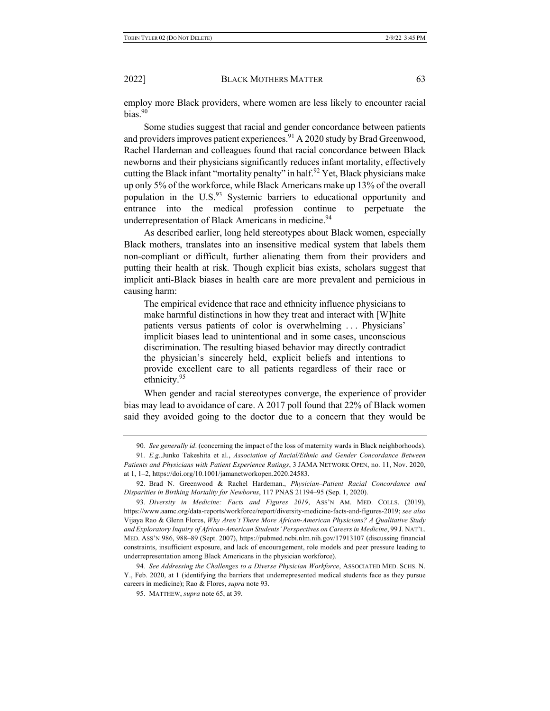employ more Black providers, where women are less likely to encounter racial bias. $90$ 

Some studies suggest that racial and gender concordance between patients and providers improves patient experiences.<sup>91</sup> A 2020 study by Brad Greenwood, Rachel Hardeman and colleagues found that racial concordance between Black newborns and their physicians significantly reduces infant mortality, effectively cutting the Black infant "mortality penalty" in half.<sup>92</sup> Yet, Black physicians make up only 5% of the workforce, while Black Americans make up 13% of the overall population in the  $U.S.<sup>93</sup>$  Systemic barriers to educational opportunity and entrance into the medical profession continue to perpetuate the underrepresentation of Black Americans in medicine.<sup>94</sup>

As described earlier, long held stereotypes about Black women, especially Black mothers, translates into an insensitive medical system that labels them non-compliant or difficult, further alienating them from their providers and putting their health at risk. Though explicit bias exists, scholars suggest that implicit anti-Black biases in health care are more prevalent and pernicious in causing harm:

The empirical evidence that race and ethnicity influence physicians to make harmful distinctions in how they treat and interact with [W]hite patients versus patients of color is overwhelming . . . Physicians' implicit biases lead to unintentional and in some cases, unconscious discrimination. The resulting biased behavior may directly contradict the physician's sincerely held, explicit beliefs and intentions to provide excellent care to all patients regardless of their race or ethnicity.95

When gender and racial stereotypes converge, the experience of provider bias may lead to avoidance of care. A 2017 poll found that 22% of Black women said they avoided going to the doctor due to a concern that they would be

<sup>90</sup>*. See generally id*. (concerning the impact of the loss of maternity wards in Black neighborhoods).

<sup>91</sup>*. E.g.,*Junko Takeshita et al., *Association of Racial/Ethnic and Gender Concordance Between Patients and Physicians with Patient Experience Ratings*, 3 JAMA NETWORK OPEN, no. 11, Nov. 2020, at 1, 1–2, https://doi.org/10.1001/jamanetworkopen.2020.24583.

<sup>92.</sup> Brad N. Greenwood & Rachel Hardeman., *Physician–Patient Racial Concordance and Disparities in Birthing Mortality for Newborns*, 117 PNAS 21194–95 (Sep. 1, 2020).

<sup>93</sup>*. Diversity in Medicine: Facts and Figures 2019*, ASS'N AM. MED. COLLS. (2019), https://www.aamc.org/data-reports/workforce/report/diversity-medicine-facts-and-figures-2019; *see also*  Vijaya Rao & Glenn Flores, *Why Aren't There More African-American Physicians? A Qualitative Study and Exploratory Inquiry of African-American Students' Perspectives on Careers in Medicine*, 99 J. NAT'L. MED. ASS'N 986, 988–89 (Sept. 2007), https://pubmed.ncbi.nlm.nih.gov/17913107 (discussing financial constraints, insufficient exposure, and lack of encouragement, role models and peer pressure leading to underrepresentation among Black Americans in the physician workforce).

<sup>94</sup>*. See Addressing the Challenges to a Diverse Physician Workforce*, ASSOCIATED MED. SCHS. N. Y., Feb. 2020, at 1 (identifying the barriers that underrepresented medical students face as they pursue careers in medicine); Rao & Flores, *supra* note 93.

<sup>95.</sup> MATTHEW, *supra* note 65, at 39.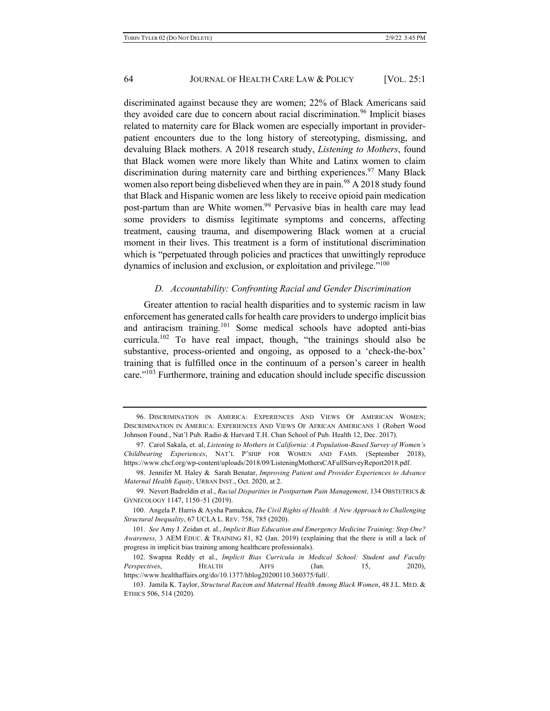discriminated against because they are women; 22% of Black Americans said they avoided care due to concern about racial discrimination.<sup>96</sup> Implicit biases related to maternity care for Black women are especially important in providerpatient encounters due to the long history of stereotyping, dismissing, and devaluing Black mothers. A 2018 research study, *Listening to Mothers*, found that Black women were more likely than White and Latinx women to claim discrimination during maternity care and birthing experiences.<sup>97</sup> Many Black women also report being disbelieved when they are in pain.<sup>98</sup> A 2018 study found that Black and Hispanic women are less likely to receive opioid pain medication post-partum than are White women.<sup>99</sup> Pervasive bias in health care may lead some providers to dismiss legitimate symptoms and concerns, affecting treatment, causing trauma, and disempowering Black women at a crucial moment in their lives. This treatment is a form of institutional discrimination which is "perpetuated through policies and practices that unwittingly reproduce dynamics of inclusion and exclusion, or exploitation and privilege."<sup>100</sup>

### *D. Accountability: Confronting Racial and Gender Discrimination*

Greater attention to racial health disparities and to systemic racism in law enforcement has generated calls for health care providers to undergo implicit bias and antiracism training.<sup>101</sup> Some medical schools have adopted anti-bias curricula.<sup>102</sup> To have real impact, though, "the trainings should also be substantive, process-oriented and ongoing, as opposed to a 'check-the-box' training that is fulfilled once in the continuum of a person's career in health care."103 Furthermore, training and education should include specific discussion

<sup>96.</sup> DISCRIMINATION IN AMERICA: EXPERIENCES AND VIEWS OF AMERICAN WOMEN; DISCRIMINATION IN AMERICA: EXPERIENCES AND VIEWS OF AFRICAN AMERICANS 1 (Robert Wood Johnson Found., Nat'l Pub. Radio & Harvard T.H. Chan School of Pub. Health 12, Dec. 2017).

<sup>97.</sup> Carol Sakala, et. al, *Listening to Mothers in California: A Population-Based Survey of Women's Childbearing Experiences*, NAT'L P'SHIP FOR WOMEN AND FAMS. (September 2018), https://www.chcf.org/wp-content/uploads/2018/09/ListeningMothersCAFullSurveyReport2018.pdf.

<sup>98.</sup> Jennifer M. Haley & Sarah Benatar, *Improving Patient and Provider Experiences to Advance Maternal Health Equity*, URBAN INST., Oct. 2020, at 2.

<sup>99.</sup> Nevert Badreldin et al., *Racial Disparities in Postpartum Pain Management*, 134 OBSTETRICS & GYNECOLOGY 1147, 1150–51 (2019).

<sup>100.</sup> Angela P. Harris & Aysha Pamukcu, *The Civil Rights of Health: A New Approach to Challenging Structural Inequality*, 67 UCLA L. REV. 758, 785 (2020).

<sup>101</sup>*. See* Amy J. Zeidan et. al., *Implicit Bias Education and Emergency Medicine Training: Step One? Awareness,* 3 AEM EDUC. & TRAINING 81, 82 (Jan. 2019) (explaining that the there is still a lack of progress in implicit bias training among healthcare professionals).

<sup>102.</sup> Swapna Reddy et al., *Implicit Bias Curricula in Medical School: Student and Faculty Perspectives*, **HEALTH AFFS** (Jan. 15, 2020), https://www.healthaffairs.org/do/10.1377/hblog20200110.360375/full/.

<sup>103.</sup> Jamila K. Taylor, *Structural Racism and Maternal Health Among Black Women*, 48 J.L. MED. & ETHICS 506, 514 (2020).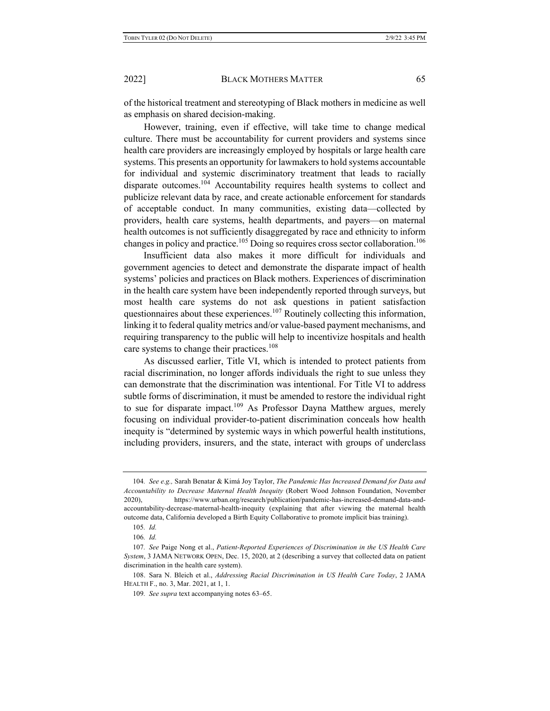of the historical treatment and stereotyping of Black mothers in medicine as well as emphasis on shared decision-making.

However, training, even if effective, will take time to change medical culture. There must be accountability for current providers and systems since health care providers are increasingly employed by hospitals or large health care systems. This presents an opportunity for lawmakers to hold systems accountable for individual and systemic discriminatory treatment that leads to racially disparate outcomes.104 Accountability requires health systems to collect and publicize relevant data by race, and create actionable enforcement for standards of acceptable conduct. In many communities, existing data—collected by providers, health care systems, health departments, and payers—on maternal health outcomes is not sufficiently disaggregated by race and ethnicity to inform changes in policy and practice.<sup>105</sup> Doing so requires cross sector collaboration.<sup>106</sup>

Insufficient data also makes it more difficult for individuals and government agencies to detect and demonstrate the disparate impact of health systems' policies and practices on Black mothers. Experiences of discrimination in the health care system have been independently reported through surveys, but most health care systems do not ask questions in patient satisfaction questionnaires about these experiences.<sup>107</sup> Routinely collecting this information, linking it to federal quality metrics and/or value-based payment mechanisms, and requiring transparency to the public will help to incentivize hospitals and health care systems to change their practices.<sup>108</sup>

As discussed earlier, Title VI, which is intended to protect patients from racial discrimination, no longer affords individuals the right to sue unless they can demonstrate that the discrimination was intentional. For Title VI to address subtle forms of discrimination, it must be amended to restore the individual right to sue for disparate impact.<sup>109</sup> As Professor Dayna Matthew argues, merely focusing on individual provider-to-patient discrimination conceals how health inequity is "determined by systemic ways in which powerful health institutions, including providers, insurers, and the state, interact with groups of underclass

<sup>104</sup>*. See e.g.,* Sarah Benatar & Kimá Joy Taylor, *The Pandemic Has Increased Demand for Data and Accountability to Decrease Maternal Health Inequity* (Robert Wood Johnson Foundation, November 2020), https://www.urban.org/research/publication/pandemic-has-increased-demand-data-andaccountability-decrease-maternal-health-inequity (explaining that after viewing the maternal health outcome data, California developed a Birth Equity Collaborative to promote implicit bias training).

<sup>105</sup>*. Id.*

<sup>106</sup>*. Id.*

<sup>107</sup>*. See* Paige Nong et al., *Patient-Reported Experiences of Discrimination in the US Health Care System*, 3 JAMA NETWORK OPEN, Dec. 15, 2020, at 2 (describing a survey that collected data on patient discrimination in the health care system).

<sup>108.</sup> Sara N. Bleich et al., *Addressing Racial Discrimination in US Health Care Today*, 2 JAMA HEALTH F., no. 3, Mar. 2021, at 1, 1.

<sup>109</sup>*. See supra* text accompanying notes 63–65.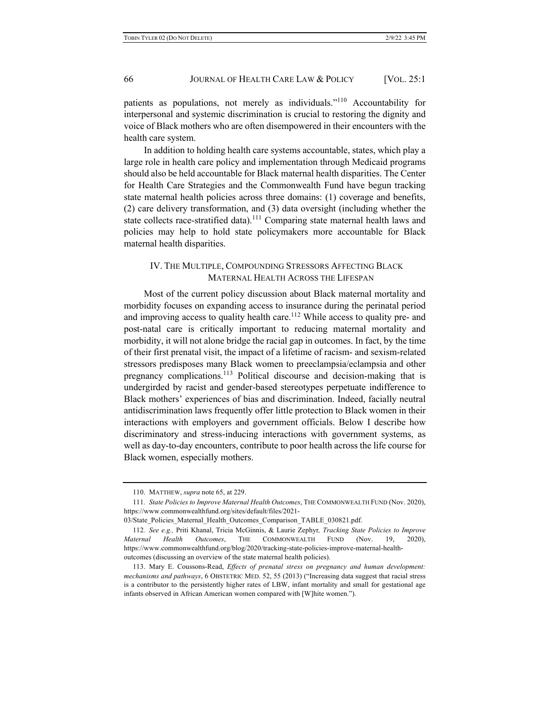patients as populations, not merely as individuals."<sup>110</sup> Accountability for interpersonal and systemic discrimination is crucial to restoring the dignity and voice of Black mothers who are often disempowered in their encounters with the health care system.

In addition to holding health care systems accountable, states, which play a large role in health care policy and implementation through Medicaid programs should also be held accountable for Black maternal health disparities. The Center for Health Care Strategies and the Commonwealth Fund have begun tracking state maternal health policies across three domains: (1) coverage and benefits, (2) care delivery transformation, and (3) data oversight (including whether the state collects race-stratified data).<sup>111</sup> Comparing state maternal health laws and policies may help to hold state policymakers more accountable for Black maternal health disparities.

# IV. THE MULTIPLE, COMPOUNDING STRESSORS AFFECTING BLACK MATERNAL HEALTH ACROSS THE LIFESPAN

Most of the current policy discussion about Black maternal mortality and morbidity focuses on expanding access to insurance during the perinatal period and improving access to quality health care.<sup>112</sup> While access to quality pre- and post-natal care is critically important to reducing maternal mortality and morbidity, it will not alone bridge the racial gap in outcomes. In fact, by the time of their first prenatal visit, the impact of a lifetime of racism- and sexism-related stressors predisposes many Black women to preeclampsia/eclampsia and other pregnancy complications.<sup>113</sup> Political discourse and decision-making that is undergirded by racist and gender-based stereotypes perpetuate indifference to Black mothers' experiences of bias and discrimination. Indeed, facially neutral antidiscrimination laws frequently offer little protection to Black women in their interactions with employers and government officials. Below I describe how discriminatory and stress-inducing interactions with government systems, as well as day-to-day encounters, contribute to poor health across the life course for Black women, especially mothers.

<sup>110.</sup> MATTHEW, *supra* note 65, at 229.

<sup>111</sup>*. State Policies to Improve Maternal Health Outcomes*, THE COMMONWEALTH FUND (Nov. 2020), https://www.commonwealthfund.org/sites/default/files/2021-

<sup>03/</sup>State\_Policies\_Maternal\_Health\_Outcomes\_Comparison\_TABLE\_030821.pdf.

<sup>112</sup>*. See e.g.,* Priti Khanal, Tricia McGinnis, & Laurie Zephyr*, Tracking State Policies to Improve Maternal Health Outcomes*, THE COMMONWEALTH FUND (Nov. 19, 2020), https://www.commonwealthfund.org/blog/2020/tracking-state-policies-improve-maternal-healthoutcomes (discussing an overview of the state maternal health policies).

<sup>113.</sup> Mary E. Coussons-Read, *Effects of prenatal stress on pregnancy and human development: mechanisms and pathways*, 6 OBSTETRIC MED. 52, 55 (2013) ("Increasing data suggest that racial stress is a contributor to the persistently higher rates of LBW, infant mortality and small for gestational age infants observed in African American women compared with [W]hite women.").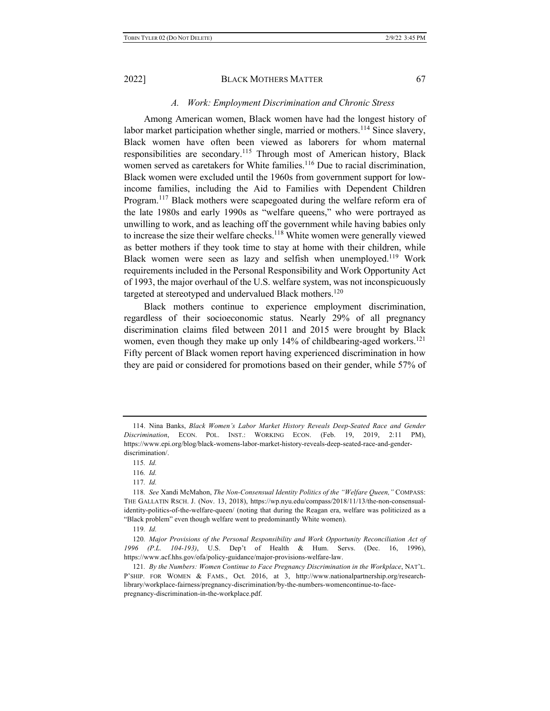# *A. Work: Employment Discrimination and Chronic Stress*

Among American women, Black women have had the longest history of labor market participation whether single, married or mothers.<sup>114</sup> Since slavery, Black women have often been viewed as laborers for whom maternal responsibilities are secondary.<sup>115</sup> Through most of American history, Black women served as caretakers for White families.<sup>116</sup> Due to racial discrimination, Black women were excluded until the 1960s from government support for lowincome families, including the Aid to Families with Dependent Children Program.<sup>117</sup> Black mothers were scapegoated during the welfare reform era of the late 1980s and early 1990s as "welfare queens," who were portrayed as unwilling to work, and as leaching off the government while having babies only to increase the size their welfare checks.<sup>118</sup> White women were generally viewed as better mothers if they took time to stay at home with their children, while Black women were seen as lazy and selfish when unemployed.<sup>119</sup> Work requirements included in the Personal Responsibility and Work Opportunity Act of 1993, the major overhaul of the U.S. welfare system, was not inconspicuously targeted at stereotyped and undervalued Black mothers.<sup>120</sup>

Black mothers continue to experience employment discrimination, regardless of their socioeconomic status. Nearly 29% of all pregnancy discrimination claims filed between 2011 and 2015 were brought by Black women, even though they make up only  $14\%$  of childbearing-aged workers.<sup>121</sup> Fifty percent of Black women report having experienced discrimination in how they are paid or considered for promotions based on their gender, while 57% of

<sup>114.</sup> Nina Banks, *Black Women's Labor Market History Reveals Deep-Seated Race and Gender Discrimination*, ECON. POL. INST.: WORKING ECON. (Feb. 19, 2019, 2:11 PM), https://www.epi.org/blog/black-womens-labor-market-history-reveals-deep-seated-race-and-genderdiscrimination/.

<sup>115</sup>*. Id.*

<sup>116</sup>*. Id.*

<sup>117</sup>*. Id.*

<sup>118</sup>*. See* Xandi McMahon, *The Non-Consensual Identity Politics of the "Welfare Queen,"* COMPASS: THE GALLATIN RSCH. J. (Nov. 13, 2018), https://wp.nyu.edu/compass/2018/11/13/the-non-consensualidentity-politics-of-the-welfare-queen/ (noting that during the Reagan era, welfare was politicized as a "Black problem" even though welfare went to predominantly White women).

<sup>119</sup>*. Id.*

<sup>120</sup>*. Major Provisions of the Personal Responsibility and Work Opportunity Reconciliation Act of 1996 (P.L. 104-193)*, U.S. Dep't of Health & Hum. Servs. (Dec. 16, 1996), https://www.acf.hhs.gov/ofa/policy-guidance/major-provisions-welfare-law.

<sup>121</sup>*. By the Numbers: Women Continue to Face Pregnancy Discrimination in the Workplace*, NAT'L. P'SHIP. FOR WOMEN & FAMS., Oct. 2016, at 3, http://www.nationalpartnership.org/researchlibrary/workplace-fairness/pregnancy-discrimination/by-the-numbers-womencontinue-to-facepregnancy-discrimination-in-the-workplace.pdf.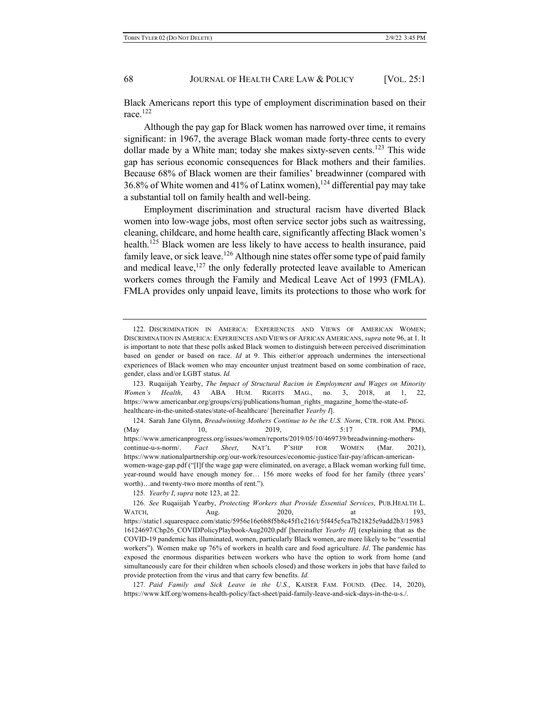Black Americans report this type of employment discrimination based on their race. $122$ 

Although the pay gap for Black women has narrowed over time, it remains significant: in 1967, the average Black woman made forty-three cents to every dollar made by a White man; today she makes sixty-seven cents.<sup>123</sup> This wide gap has serious economic consequences for Black mothers and their families. Because 68% of Black women are their families' breadwinner (compared with 36.8% of White women and 41% of Latinx women),  $124$  differential pay may take a substantial toll on family health and well-being.

Employment discrimination and structural racism have diverted Black women into low-wage jobs, most often service sector jobs such as waitressing, cleaning, childcare, and home health care, significantly affecting Black women's health.<sup>125</sup> Black women are less likely to have access to health insurance, paid family leave, or sick leave.<sup>126</sup> Although nine states offer some type of paid family and medical leave,  $127$  the only federally protected leave available to American workers comes through the Family and Medical Leave Act of 1993 (FMLA). FMLA provides only unpaid leave, limits its protections to those who work for

<sup>122.</sup> DISCRIMINATION IN AMERICA: EXPERIENCES AND VIEWS OF AMERICAN WOMEN; DISCRIMINATION IN AMERICA: EXPERIENCES AND VIEWS OF AFRICAN AMERICANS, *supra* note 96, at 1. It is important to note that these polls asked Black women to distinguish between perceived discrimination based on gender or based on race. *Id* at 9. This either/or approach undermines the intersectional experiences of Black women who may encounter unjust treatment based on some combination of race, gender, class and/or LGBT status. *Id.*

<sup>123.</sup> Ruqaiijah Yearby, *The Impact of Structural Racism in Employment and Wages on Minority Women's Health*, 43 ABA HUM. RIGHTS MAG., no. 3, 2018, at 1, 22, https://www.americanbar.org/groups/crsj/publications/human\_rights\_magazine\_home/the-state-ofhealthcare-in-the-united-states/state-of-healthcare/ [hereinafter *Yearby I*].

<sup>124.</sup> Sarah Jane Glynn, *Breadwinning Mothers Continue to be the U.S. Norm*, CTR. FOR AM. PROG. (May 10, 2019, 5:17 PM), https://www.americanprogress.org/issues/women/reports/2019/05/10/469739/breadwinning-motherscontinue-u-s-norm/. *Fact Sheet*, NAT'L P'SHIP FOR WOMEN (Mar. 2021), https://www.nationalpartnership.org/our-work/resources/economic-justice/fair-pay/african-americanwomen-wage-gap.pdf ("[I]f the wage gap were eliminated, on average, a Black woman working full time, year-round would have enough money for… 156 more weeks of food for her family (three years' worth)…and twenty-two more months of rent.").

<sup>125</sup>*. Yearby I*, *supra* note 123, at 22.

<sup>126</sup>*. See* Ruqaiijah Yearby, *Protecting Workers that Provide Essential Services*, PUB.HEALTH L. WATCH, Aug. 2020, at 193, https://static1.squarespace.com/static/5956e16e6b8f5b8c45f1c216/t/5f445e5ca7b21825e9add2b3/15983 16124697/Chp26\_COVIDPolicyPlaybook-Aug2020.pdf [hereinafter *Yearby II*] (explaining that as the COVID-19 pandemic has illuminated, women, particularly Black women, are more likely to be "essential workers"). Women make up 76% of workers in health care and food agriculture. *Id*. The pandemic has exposed the enormous disparities between workers who have the option to work from home (and simultaneously care for their children when schools closed) and those workers in jobs that have failed to provide protection from the virus and that carry few benefits. *Id.*

<sup>127</sup>*. Paid Family and Sick Leave in the U.S.*, KAISER FAM. FOUND. (Dec. 14, 2020), https://www.kff.org/womens-health-policy/fact-sheet/paid-family-leave-and-sick-days-in-the-u-s./.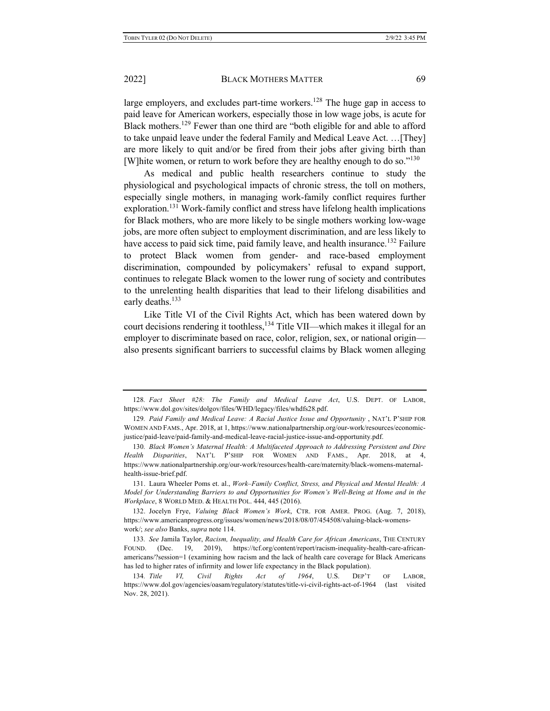large employers, and excludes part-time workers.<sup>128</sup> The huge gap in access to paid leave for American workers, especially those in low wage jobs, is acute for Black mothers.129 Fewer than one third are "both eligible for and able to afford to take unpaid leave under the federal Family and Medical Leave Act. …[They] are more likely to quit and/or be fired from their jobs after giving birth than [W] hite women, or return to work before they are healthy enough to do so." $130$ 

As medical and public health researchers continue to study the physiological and psychological impacts of chronic stress, the toll on mothers, especially single mothers, in managing work-family conflict requires further exploration.<sup>131</sup> Work-family conflict and stress have lifelong health implications for Black mothers, who are more likely to be single mothers working low-wage jobs, are more often subject to employment discrimination, and are less likely to have access to paid sick time, paid family leave, and health insurance.<sup>132</sup> Failure to protect Black women from gender- and race-based employment discrimination, compounded by policymakers' refusal to expand support, continues to relegate Black women to the lower rung of society and contributes to the unrelenting health disparities that lead to their lifelong disabilities and early deaths.<sup>133</sup>

Like Title VI of the Civil Rights Act, which has been watered down by court decisions rendering it toothless,<sup>134</sup> Title VII—which makes it illegal for an employer to discriminate based on race, color, religion, sex, or national origin also presents significant barriers to successful claims by Black women alleging

<sup>128</sup>*. Fact Sheet #28: The Family and Medical Leave Act*, U.S. DEPT. OF LABOR, https://www.dol.gov/sites/dolgov/files/WHD/legacy/files/whdfs28.pdf.

<sup>129.</sup> Paid Family and Medical Leave: A Racial Justice Issue and Opportunity , NAT'L P'SHIP FOR WOMEN AND FAMS., Apr. 2018, at 1, https://www.nationalpartnership.org/our-work/resources/economicjustice/paid-leave/paid-family-and-medical-leave-racial-justice-issue-and-opportunity.pdf.

<sup>130</sup>*. Black Women's Maternal Health: A Multifaceted Approach to Addressing Persistent and Dire Health Disparities*, NAT'L P'SHIP FOR WOMEN AND FAMS., Apr. 2018, at 4, https://www.nationalpartnership.org/our-work/resources/health-care/maternity/black-womens-maternalhealth-issue-brief.pdf.

<sup>131.</sup> Laura Wheeler Poms et. al., *Work–Family Conflict, Stress, and Physical and Mental Health: A Model for Understanding Barriers to and Opportunities for Women's Well-Being at Home and in the Workplace*, 8 WORLD MED. & HEALTH POL. 444, 445 (2016).

<sup>132.</sup> Jocelyn Frye, *Valuing Black Women's Work*, CTR. FOR AMER. PROG. (Aug. 7, 2018), https://www.americanprogress.org/issues/women/news/2018/08/07/454508/valuing-black-womenswork/; *see also* Banks, *supra* note 114.

<sup>133</sup>*. See* Jamila Taylor, *Racism, Inequality, and Health Care for African Americans*, THE CENTURY FOUND. (Dec. 19, 2019), https://tcf.org/content/report/racism-inequality-health-care-africanamericans/?session=1 (examining how racism and the lack of health care coverage for Black Americans has led to higher rates of infirmity and lower life expectancy in the Black population).

<sup>134</sup>*. Title VI, Civil Rights Act of 1964*, U.S. DEP'T OF LABOR, https://www.dol.gov/agencies/oasam/regulatory/statutes/title-vi-civil-rights-act-of-1964 (last visited Nov. 28, 2021).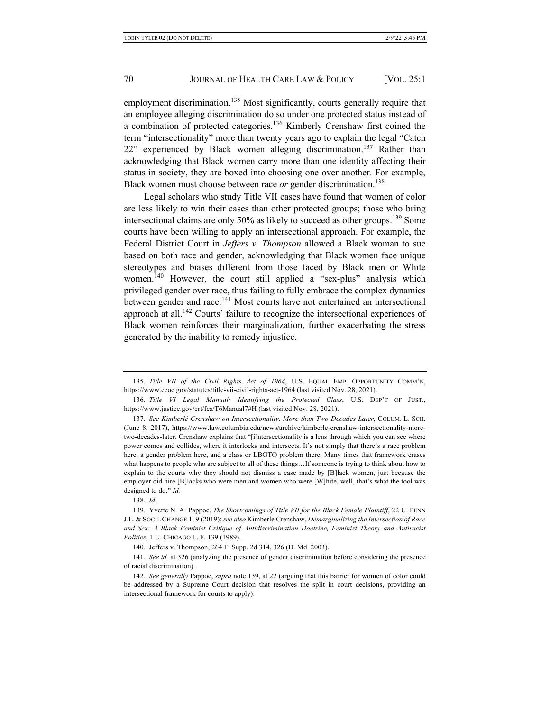employment discrimination.<sup>135</sup> Most significantly, courts generally require that an employee alleging discrimination do so under one protected status instead of a combination of protected categories.<sup>136</sup> Kimberly Crenshaw first coined the term "intersectionality" more than twenty years ago to explain the legal "Catch  $22$ " experienced by Black women alleging discrimination.<sup>137</sup> Rather than acknowledging that Black women carry more than one identity affecting their status in society, they are boxed into choosing one over another. For example, Black women must choose between race *or* gender discrimination.<sup>138</sup>

Legal scholars who study Title VII cases have found that women of color are less likely to win their cases than other protected groups; those who bring intersectional claims are only  $50\%$  as likely to succeed as other groups.<sup>139</sup> Some courts have been willing to apply an intersectional approach. For example, the Federal District Court in *Jeffers v. Thompson* allowed a Black woman to sue based on both race and gender, acknowledging that Black women face unique stereotypes and biases different from those faced by Black men or White women.<sup>140</sup> However, the court still applied a "sex-plus" analysis which privileged gender over race, thus failing to fully embrace the complex dynamics between gender and race.<sup>141</sup> Most courts have not entertained an intersectional approach at all.<sup>142</sup> Courts' failure to recognize the intersectional experiences of Black women reinforces their marginalization, further exacerbating the stress generated by the inability to remedy injustice.

<sup>135</sup>*. Title VII of the Civil Rights Act of 1964*, U.S. EQUAL EMP. OPPORTUNITY COMM'N, https://www.eeoc.gov/statutes/title-vii-civil-rights-act-1964 (last visited Nov. 28, 2021).

<sup>136</sup>*. Title VI Legal Manual: Identifying the Protected Class*, U.S. DEP'T OF JUST., https://www.justice.gov/crt/fcs/T6Manual7#H (last visited Nov. 28, 2021).

<sup>137</sup>*. See Kimberlé Crenshaw on Intersectionality, More than Two Decades Later*, COLUM. L. SCH. (June 8, 2017), https://www.law.columbia.edu/news/archive/kimberle-crenshaw-intersectionality-moretwo-decades-later. Crenshaw explains that "[i]ntersectionality is a lens through which you can see where power comes and collides, where it interlocks and intersects. It's not simply that there's a race problem here, a gender problem here, and a class or LBGTQ problem there. Many times that framework erases what happens to people who are subject to all of these things…If someone is trying to think about how to explain to the courts why they should not dismiss a case made by [B]lack women, just because the employer did hire [B]lacks who were men and women who were [W]hite, well, that's what the tool was designed to do." *Id.*

<sup>138</sup>*. Id.*

<sup>139.</sup> Yvette N. A. Pappoe, *The Shortcomings of Title VII for the Black Female Plaintiff*, 22 U. PENN J.L. & SOC'L CHANGE 1, 9 (2019); *see also* Kimberle Crenshaw, *Demarginalizing the Intersection of Race and Sex: A Black Feminist Critique of Antidiscrimination Doctrine, Feminist Theory and Antiracist Politics*, 1 U. CHICAGO L. F. 139 (1989).

<sup>140.</sup> Jeffers v. Thompson, 264 F. Supp. 2d 314, 326 (D. Md. 2003).

<sup>141</sup>*. See id.* at 326 (analyzing the presence of gender discrimination before considering the presence of racial discrimination).

<sup>142</sup>*. See generally* Pappoe, *supra* note 139, at 22 (arguing that this barrier for women of color could be addressed by a Supreme Court decision that resolves the split in court decisions, providing an intersectional framework for courts to apply).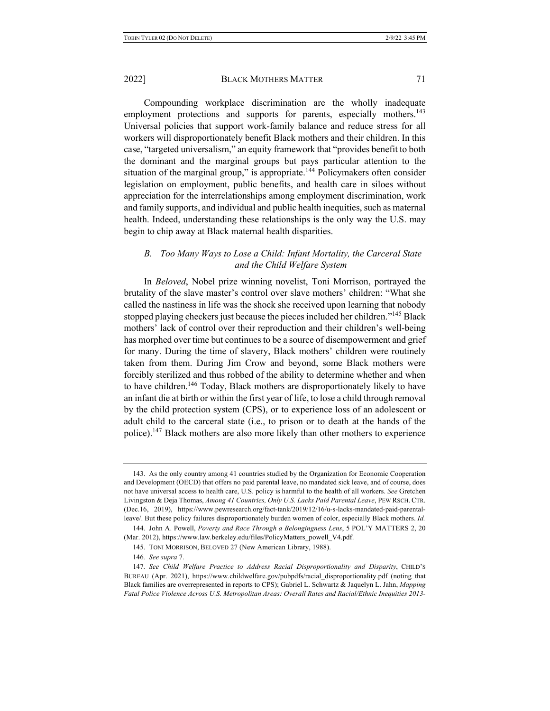Compounding workplace discrimination are the wholly inadequate employment protections and supports for parents, especially mothers.<sup>143</sup> Universal policies that support work-family balance and reduce stress for all workers will disproportionately benefit Black mothers and their children. In this case, "targeted universalism," an equity framework that "provides benefit to both the dominant and the marginal groups but pays particular attention to the situation of the marginal group," is appropriate.<sup>144</sup> Policymakers often consider legislation on employment, public benefits, and health care in siloes without appreciation for the interrelationships among employment discrimination, work and family supports, and individual and public health inequities, such as maternal health. Indeed, understanding these relationships is the only way the U.S. may begin to chip away at Black maternal health disparities.

# *B. Too Many Ways to Lose a Child: Infant Mortality, the Carceral State and the Child Welfare System*

In *Beloved*, Nobel prize winning novelist, Toni Morrison, portrayed the brutality of the slave master's control over slave mothers' children: "What she called the nastiness in life was the shock she received upon learning that nobody stopped playing checkers just because the pieces included her children."145 Black mothers' lack of control over their reproduction and their children's well-being has morphed over time but continues to be a source of disempowerment and grief for many. During the time of slavery, Black mothers' children were routinely taken from them. During Jim Crow and beyond, some Black mothers were forcibly sterilized and thus robbed of the ability to determine whether and when to have children.<sup>146</sup> Today, Black mothers are disproportionately likely to have an infant die at birth or within the first year of life, to lose a child through removal by the child protection system (CPS), or to experience loss of an adolescent or adult child to the carceral state (i.e., to prison or to death at the hands of the police).147 Black mothers are also more likely than other mothers to experience

<sup>143.</sup> As the only country among 41 countries studied by the Organization for Economic Cooperation and Development (OECD) that offers no paid parental leave, no mandated sick leave, and of course, does not have universal access to health care, U.S. policy is harmful to the health of all workers. *See* Gretchen Livingston & Deja Thomas, *Among 41 Countries, Only U.S. Lacks Paid Parental Leave*, PEW RSCH. CTR. (Dec.16, 2019), https://www.pewresearch.org/fact-tank/2019/12/16/u-s-lacks-mandated-paid-parentalleave/. But these policy failures disproportionately burden women of color, especially Black mothers. *Id.*

<sup>144.</sup> John A. Powell, *Poverty and Race Through a Belongingness Lens*, 5 POL'Y MATTERS 2, 20 (Mar. 2012), https://www.law.berkeley.edu/files/PolicyMatters\_powell\_V4.pdf.

<sup>145.</sup> TONI MORRISON, BELOVED 27 (New American Library, 1988).

<sup>146</sup>*. See supra* 7.

<sup>147</sup>*. See Child Welfare Practice to Address Racial Disproportionality and Disparity*, CHILD'S BUREAU (Apr. 2021), https://www.childwelfare.gov/pubpdfs/racial\_disproportionality.pdf (noting that Black families are overrepresented in reports to CPS); Gabriel L. Schwartz & Jaquelyn L. Jahn, *Mapping Fatal Police Violence Across U.S. Metropolitan Areas: Overall Rates and Racial/Ethnic Inequities 2013-*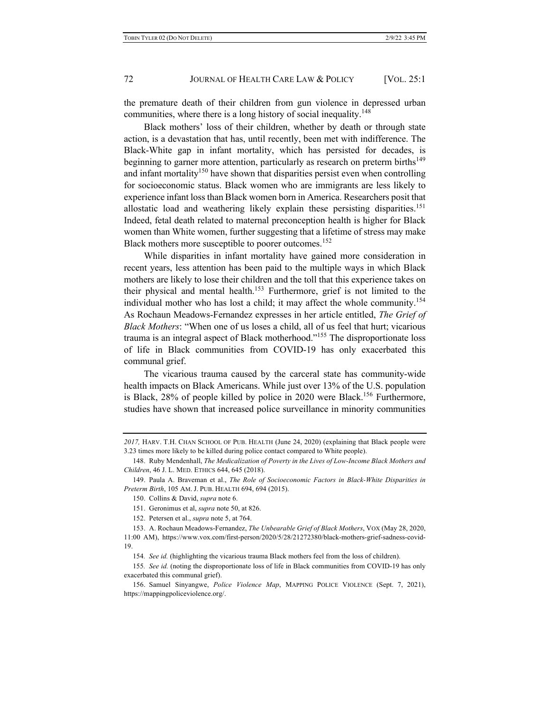the premature death of their children from gun violence in depressed urban communities, where there is a long history of social inequality.<sup>148</sup>

Black mothers' loss of their children, whether by death or through state action, is a devastation that has, until recently, been met with indifference. The Black-White gap in infant mortality, which has persisted for decades, is beginning to garner more attention, particularly as research on preterm births<sup>149</sup> and infant mortality<sup>150</sup> have shown that disparities persist even when controlling for socioeconomic status. Black women who are immigrants are less likely to experience infant loss than Black women born in America. Researchers posit that allostatic load and weathering likely explain these persisting disparities.<sup>151</sup> Indeed, fetal death related to maternal preconception health is higher for Black women than White women, further suggesting that a lifetime of stress may make Black mothers more susceptible to poorer outcomes.<sup>152</sup>

While disparities in infant mortality have gained more consideration in recent years, less attention has been paid to the multiple ways in which Black mothers are likely to lose their children and the toll that this experience takes on their physical and mental health.<sup>153</sup> Furthermore, grief is not limited to the individual mother who has lost a child; it may affect the whole community.<sup>154</sup> As Rochaun Meadows-Fernandez expresses in her article entitled, *The Grief of Black Mothers*: "When one of us loses a child, all of us feel that hurt; vicarious trauma is an integral aspect of Black motherhood."<sup>155</sup> The disproportionate loss of life in Black communities from COVID-19 has only exacerbated this communal grief.

The vicarious trauma caused by the carceral state has community-wide health impacts on Black Americans. While just over 13% of the U.S. population is Black, 28% of people killed by police in 2020 were Black.<sup>156</sup> Furthermore, studies have shown that increased police surveillance in minority communities

*<sup>2017,</sup>* HARV. T.H. CHAN SCHOOL OF PUB. HEALTH (June 24, 2020) (explaining that Black people were 3.23 times more likely to be killed during police contact compared to White people).

<sup>148.</sup> Ruby Mendenhall, *The Medicalization of Poverty in the Lives of Low-Income Black Mothers and Children*, 46 J. L. MED. ETHICS 644, 645 (2018).

<sup>149.</sup> Paula A. Braveman et al., *The Role of Socioeconomic Factors in Black-White Disparities in Preterm Birth*, 105 AM. J. PUB. HEALTH 694, 694 (2015).

<sup>150.</sup> Collins & David, *supra* note 6.

<sup>151.</sup> Geronimus et al, *supra* note 50, at 826.

<sup>152.</sup> Petersen et al., *supra* note 5, at 764.

<sup>153.</sup> A. Rochaun Meadows-Fernandez, *The Unbearable Grief of Black Mothers*, VOX (May 28, 2020,

<sup>11:00</sup> AM), https://www.vox.com/first-person/2020/5/28/21272380/black-mothers-grief-sadness-covid-19.

<sup>154</sup>*. See id.* (highlighting the vicarious trauma Black mothers feel from the loss of children).

<sup>155</sup>*. See id.* (noting the disproportionate loss of life in Black communities from COVID-19 has only exacerbated this communal grief).

<sup>156.</sup> Samuel Sinyangwe, *Police Violence Map*, MAPPING POLICE VIOLENCE (Sept. 7, 2021), https://mappingpoliceviolence.org/.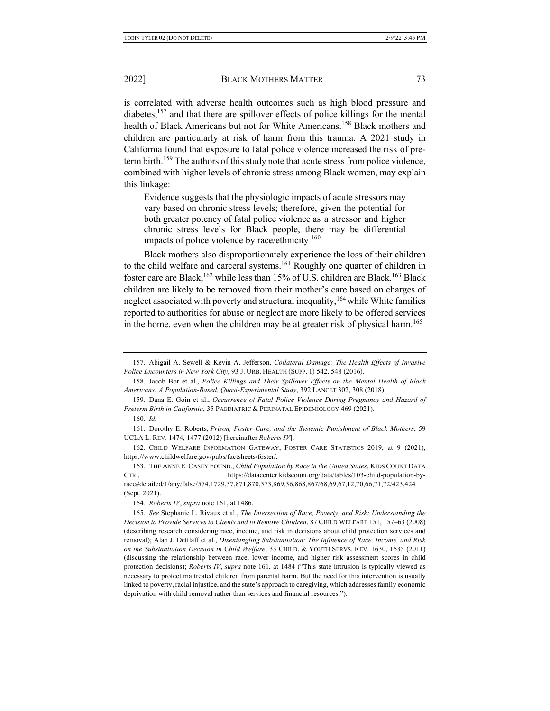is correlated with adverse health outcomes such as high blood pressure and diabetes, $157$  and that there are spillover effects of police killings for the mental health of Black Americans but not for White Americans. <sup>158</sup> Black mothers and children are particularly at risk of harm from this trauma. A 2021 study in California found that exposure to fatal police violence increased the risk of preterm birth.<sup>159</sup> The authors of this study note that acute stress from police violence, combined with higher levels of chronic stress among Black women, may explain this linkage:

Evidence suggests that the physiologic impacts of acute stressors may vary based on chronic stress levels; therefore, given the potential for both greater potency of fatal police violence as a stressor and higher chronic stress levels for Black people, there may be differential impacts of police violence by race/ethnicity 160

Black mothers also disproportionately experience the loss of their children to the child welfare and carceral systems.<sup>161</sup> Roughly one quarter of children in foster care are Black,<sup>162</sup> while less than 15% of U.S. children are Black.<sup>163</sup> Black children are likely to be removed from their mother's care based on charges of neglect associated with poverty and structural inequality,  $164$  while White families reported to authorities for abuse or neglect are more likely to be offered services in the home, even when the children may be at greater risk of physical harm.<sup>165</sup>

<sup>157.</sup> Abigail A. Sewell & Kevin A. Jefferson, *Collateral Damage: The Health Effects of Invasive Police Encounters in New York City*, 93 J. URB. HEALTH (SUPP. 1) 542, 548 (2016).

<sup>158.</sup> Jacob Bor et al., *Police Killings and Their Spillover Effects on the Mental Health of Black Americans: A Population-Based, Quasi-Experimental Study*, 392 LANCET 302, 308 (2018).

<sup>159.</sup> Dana E. Goin et al., *Occurrence of Fatal Police Violence During Pregnancy and Hazard of Preterm Birth in California*, 35 PAEDIATRIC & PERINATAL EPIDEMIOLOGY 469 (2021).

<sup>160</sup>*. Id.*

<sup>161.</sup> Dorothy E. Roberts, *Prison, Foster Care, and the Systemic Punishment of Black Mothers*, 59 UCLA L. REV. 1474, 1477 (2012) [hereinafter *Roberts IV*].

<sup>162.</sup> CHILD WELFARE INFORMATION GATEWAY, FOSTER CARE STATISTICS 2019, at 9 (2021), https://www.childwelfare.gov/pubs/factsheets/foster/.

<sup>163.</sup> THE ANNE E. CASEY FOUND., *Child Population by Race in the United States*, KIDS COUNT DATA CTR., https://datacenter.kidscount.org/data/tables/103-child-population-byrace#detailed/1/any/false/574,1729,37,871,870,573,869,36,868,867/68,69,67,12,70,66,71,72/423,424 (Sept. 2021).

<sup>164</sup>*. Roberts IV*, *supra* note 161, at 1486.

<sup>165</sup>*. See* Stephanie L. Rivaux et al., *The Intersection of Race, Poverty, and Risk: Understanding the Decision to Provide Services to Clients and to Remove Children*, 87 CHILD WELFARE 151, 157–63 (2008) (describing research considering race, income, and risk in decisions about child protection services and removal); Alan J. Dettlaff et al., *Disentangling Substantiation: The Influence of Race, Income, and Risk on the Substantiation Decision in Child Welfare*, 33 CHILD. & YOUTH SERVS. REV. 1630, 1635 (2011) (discussing the relationship between race, lower income, and higher risk assessment scores in child protection decisions); *Roberts IV*, *supra* note 161, at 1484 ("This state intrusion is typically viewed as necessary to protect maltreated children from parental harm. But the need for this intervention is usually linked to poverty, racial injustice, and the state's approach to caregiving, which addresses family economic deprivation with child removal rather than services and financial resources.").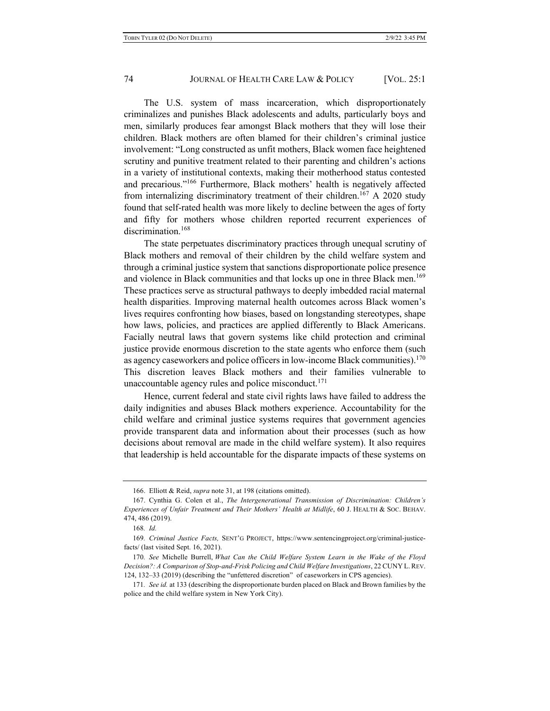The U.S. system of mass incarceration, which disproportionately criminalizes and punishes Black adolescents and adults, particularly boys and men, similarly produces fear amongst Black mothers that they will lose their children. Black mothers are often blamed for their children's criminal justice involvement: "Long constructed as unfit mothers, Black women face heightened scrutiny and punitive treatment related to their parenting and children's actions in a variety of institutional contexts, making their motherhood status contested and precarious."166 Furthermore, Black mothers' health is negatively affected from internalizing discriminatory treatment of their children.<sup>167</sup> A 2020 study found that self-rated health was more likely to decline between the ages of forty and fifty for mothers whose children reported recurrent experiences of discrimination.<sup>168</sup>

The state perpetuates discriminatory practices through unequal scrutiny of Black mothers and removal of their children by the child welfare system and through a criminal justice system that sanctions disproportionate police presence and violence in Black communities and that locks up one in three Black men.<sup>169</sup> These practices serve as structural pathways to deeply imbedded racial maternal health disparities. Improving maternal health outcomes across Black women's lives requires confronting how biases, based on longstanding stereotypes, shape how laws, policies, and practices are applied differently to Black Americans. Facially neutral laws that govern systems like child protection and criminal justice provide enormous discretion to the state agents who enforce them (such as agency caseworkers and police officers in low-income Black communities).<sup>170</sup> This discretion leaves Black mothers and their families vulnerable to unaccountable agency rules and police misconduct. $171$ 

Hence, current federal and state civil rights laws have failed to address the daily indignities and abuses Black mothers experience. Accountability for the child welfare and criminal justice systems requires that government agencies provide transparent data and information about their processes (such as how decisions about removal are made in the child welfare system). It also requires that leadership is held accountable for the disparate impacts of these systems on

<sup>166.</sup> Elliott & Reid, *supra* note 31, at 198 (citations omitted).

<sup>167.</sup> Cynthia G. Colen et al., *The Intergenerational Transmission of Discrimination: Children's Experiences of Unfair Treatment and Their Mothers' Health at Midlife*, 60 J. HEALTH & SOC. BEHAV. 474, 486 (2019).

<sup>168</sup>*. Id.*

<sup>169</sup>*. Criminal Justice Facts,* SENT'G PROJECT, https://www.sentencingproject.org/criminal-justicefacts/ (last visited Sept. 16, 2021).

<sup>170</sup>*. See* Michelle Burrell, *What Can the Child Welfare System Learn in the Wake of the Floyd Decision?: A Comparison of Stop-and-Frisk Policing and Child Welfare Investigations*, 22 CUNY L.REV. 124, 132–33 (2019) (describing the "unfettered discretion" of caseworkers in CPS agencies).

<sup>171</sup>*. See id.* at 133 (describing the disproportionate burden placed on Black and Brown families by the police and the child welfare system in New York City).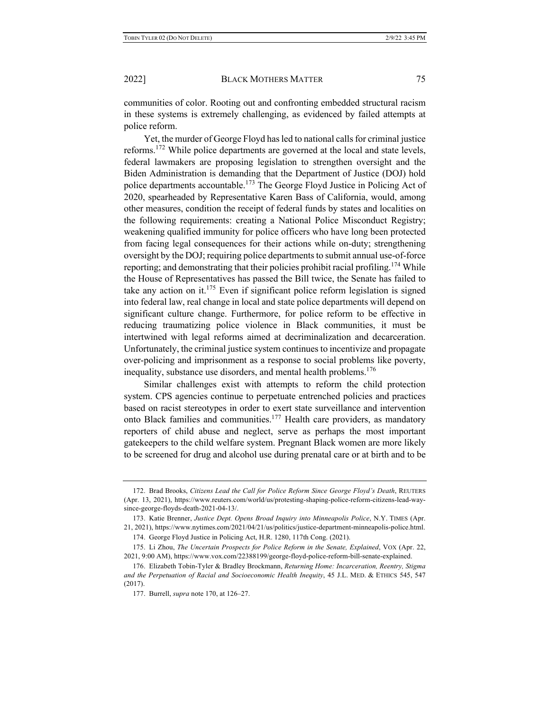communities of color. Rooting out and confronting embedded structural racism in these systems is extremely challenging, as evidenced by failed attempts at police reform.

Yet, the murder of George Floyd has led to national calls for criminal justice reforms.<sup>172</sup> While police departments are governed at the local and state levels, federal lawmakers are proposing legislation to strengthen oversight and the Biden Administration is demanding that the Department of Justice (DOJ) hold police departments accountable.<sup>173</sup> The George Floyd Justice in Policing Act of 2020, spearheaded by Representative Karen Bass of California, would, among other measures, condition the receipt of federal funds by states and localities on the following requirements: creating a National Police Misconduct Registry; weakening qualified immunity for police officers who have long been protected from facing legal consequences for their actions while on-duty; strengthening oversight by the DOJ; requiring police departments to submit annual use-of-force reporting; and demonstrating that their policies prohibit racial profiling.<sup>174</sup> While the House of Representatives has passed the Bill twice, the Senate has failed to take any action on it.<sup>175</sup> Even if significant police reform legislation is signed into federal law, real change in local and state police departments will depend on significant culture change. Furthermore, for police reform to be effective in reducing traumatizing police violence in Black communities, it must be intertwined with legal reforms aimed at decriminalization and decarceration. Unfortunately, the criminal justice system continues to incentivize and propagate over-policing and imprisonment as a response to social problems like poverty, inequality, substance use disorders, and mental health problems.<sup>176</sup>

Similar challenges exist with attempts to reform the child protection system. CPS agencies continue to perpetuate entrenched policies and practices based on racist stereotypes in order to exert state surveillance and intervention onto Black families and communities.177 Health care providers, as mandatory reporters of child abuse and neglect, serve as perhaps the most important gatekeepers to the child welfare system. Pregnant Black women are more likely to be screened for drug and alcohol use during prenatal care or at birth and to be

<sup>172.</sup> Brad Brooks, *Citizens Lead the Call for Police Reform Since George Floyd's Death*, REUTERS (Apr. 13, 2021), https://www.reuters.com/world/us/protesting-shaping-police-reform-citizens-lead-waysince-george-floyds-death-2021-04-13/.

<sup>173.</sup> Katie Brenner, *Justice Dept. Opens Broad Inquiry into Minneapolis Police*, N.Y. TIMES (Apr. 21, 2021), https://www.nytimes.com/2021/04/21/us/politics/justice-department-minneapolis-police.html.

<sup>174.</sup> George Floyd Justice in Policing Act, H.R. 1280, 117th Cong. (2021).

<sup>175.</sup> Li Zhou, *The Uncertain Prospects for Police Reform in the Senate, Explained*, VOX (Apr. 22, 2021, 9:00 AM), https://www.vox.com/22388199/george-floyd-police-reform-bill-senate-explained.

<sup>176.</sup> Elizabeth Tobin-Tyler & Bradley Brockmann, *Returning Home: Incarceration, Reentry, Stigma and the Perpetuation of Racial and Socioeconomic Health Inequity*, 45 J.L. MED. & ETHICS 545, 547 (2017).

<sup>177.</sup> Burrell, *supra* note 170, at 126–27.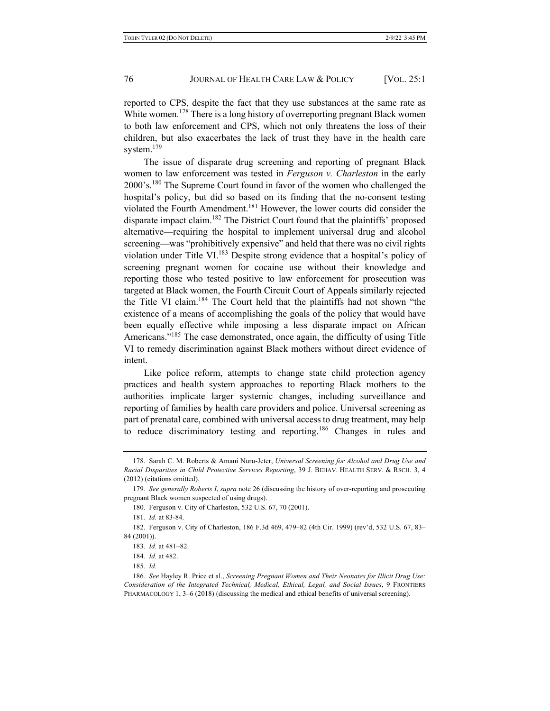reported to CPS, despite the fact that they use substances at the same rate as White women.<sup>178</sup> There is a long history of overreporting pregnant Black women to both law enforcement and CPS, which not only threatens the loss of their children, but also exacerbates the lack of trust they have in the health care system.<sup>179</sup>

The issue of disparate drug screening and reporting of pregnant Black women to law enforcement was tested in *Ferguson v. Charleston* in the early 2000's.180 The Supreme Court found in favor of the women who challenged the hospital's policy, but did so based on its finding that the no-consent testing violated the Fourth Amendment.<sup>181</sup> However, the lower courts did consider the disparate impact claim.182 The District Court found that the plaintiffs' proposed alternative—requiring the hospital to implement universal drug and alcohol screening—was "prohibitively expensive" and held that there was no civil rights violation under Title VI.<sup>183</sup> Despite strong evidence that a hospital's policy of screening pregnant women for cocaine use without their knowledge and reporting those who tested positive to law enforcement for prosecution was targeted at Black women, the Fourth Circuit Court of Appeals similarly rejected the Title VI claim.184 The Court held that the plaintiffs had not shown "the existence of a means of accomplishing the goals of the policy that would have been equally effective while imposing a less disparate impact on African Americans."<sup>185</sup> The case demonstrated, once again, the difficulty of using Title VI to remedy discrimination against Black mothers without direct evidence of intent.

Like police reform, attempts to change state child protection agency practices and health system approaches to reporting Black mothers to the authorities implicate larger systemic changes, including surveillance and reporting of families by health care providers and police. Universal screening as part of prenatal care, combined with universal access to drug treatment, may help to reduce discriminatory testing and reporting.<sup>186</sup> Changes in rules and

<sup>178.</sup> Sarah C. M. Roberts & Amani Nuru-Jeter, *Universal Screening for Alcohol and Drug Use and Racial Disparities in Child Protective Services Reporting*, 39 J. BEHAV. HEALTH SERV. & RSCH. 3, 4 (2012) (citations omitted).

<sup>179</sup>*. See generally Roberts I*, *supra* note 26 (discussing the history of over-reporting and prosecuting pregnant Black women suspected of using drugs).

<sup>180.</sup> Ferguson v. City of Charleston, 532 U.S. 67, 70 (2001).

<sup>181</sup>*. Id.* at 83-84.

<sup>182.</sup> Ferguson v. City of Charleston, 186 F.3d 469, 479–82 (4th Cir. 1999) (rev'd, 532 U.S. 67, 83– 84 (2001)).

<sup>183</sup>*. Id.* at 481–82.

<sup>184</sup>*. Id.* at 482.

<sup>185</sup>*. Id.*

<sup>186</sup>*. See* Hayley R. Price et al., *Screening Pregnant Women and Their Neonates for Illicit Drug Use: Consideration of the Integrated Technical, Medical, Ethical, Legal, and Social Issues*, 9 FRONTIERS PHARMACOLOGY 1, 3-6 (2018) (discussing the medical and ethical benefits of universal screening).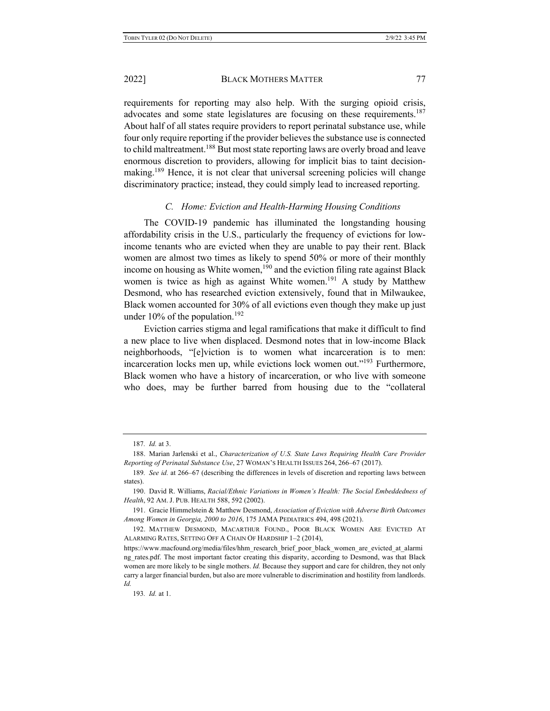requirements for reporting may also help. With the surging opioid crisis, advocates and some state legislatures are focusing on these requirements.<sup>187</sup> About half of all states require providers to report perinatal substance use, while four only require reporting if the provider believes the substance use is connected to child maltreatment.<sup>188</sup> But most state reporting laws are overly broad and leave enormous discretion to providers, allowing for implicit bias to taint decisionmaking.<sup>189</sup> Hence, it is not clear that universal screening policies will change discriminatory practice; instead, they could simply lead to increased reporting.

### *C. Home: Eviction and Health-Harming Housing Conditions*

The COVID-19 pandemic has illuminated the longstanding housing affordability crisis in the U.S., particularly the frequency of evictions for lowincome tenants who are evicted when they are unable to pay their rent. Black women are almost two times as likely to spend 50% or more of their monthly income on housing as White women,<sup>190</sup> and the eviction filing rate against Black women is twice as high as against White women.<sup>191</sup> A study by Matthew Desmond, who has researched eviction extensively, found that in Milwaukee, Black women accounted for 30% of all evictions even though they make up just under  $10\%$  of the population.<sup>192</sup>

Eviction carries stigma and legal ramifications that make it difficult to find a new place to live when displaced. Desmond notes that in low-income Black neighborhoods, "[e]viction is to women what incarceration is to men: incarceration locks men up, while evictions lock women out."<sup>193</sup> Furthermore, Black women who have a history of incarceration, or who live with someone who does, may be further barred from housing due to the "collateral

<sup>187</sup>*. Id.* at 3.

<sup>188.</sup> Marian Jarlenski et al., *Characterization of U.S. State Laws Requiring Health Care Provider Reporting of Perinatal Substance Use*, 27 WOMAN'S HEALTH ISSUES 264, 266–67 (2017).

<sup>189</sup>*. See id.* at 266–67 (describing the differences in levels of discretion and reporting laws between states).

<sup>190.</sup> David R. Williams, *Racial/Ethnic Variations in Women's Health: The Social Embeddedness of Health*, 92 AM. J. PUB. HEALTH 588, 592 (2002).

<sup>191.</sup> Gracie Himmelstein & Matthew Desmond, *Association of Eviction with Adverse Birth Outcomes Among Women in Georgia, 2000 to 2016*, 175 JAMA PEDIATRICS 494, 498 (2021).

<sup>192.</sup> MATTHEW DESMOND, MACARTHUR FOUND., POOR BLACK WOMEN ARE EVICTED AT ALARMING RATES, SETTING OFF A CHAIN OF HARDSHIP 1–2 (2014),

https://www.macfound.org/media/files/hhm\_research\_brief\_poor\_black\_women\_are\_evicted\_at\_alarmi ng rates.pdf. The most important factor creating this disparity, according to Desmond, was that Black women are more likely to be single mothers. *Id.* Because they support and care for children, they not only carry a larger financial burden, but also are more vulnerable to discrimination and hostility from landlords. *Id.*

<sup>193</sup>*. Id.* at 1.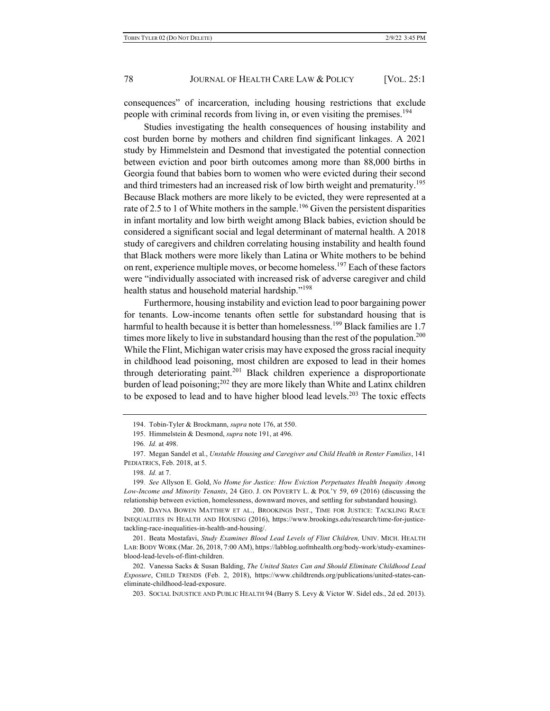consequences" of incarceration, including housing restrictions that exclude people with criminal records from living in, or even visiting the premises.<sup>194</sup>

Studies investigating the health consequences of housing instability and cost burden borne by mothers and children find significant linkages. A 2021 study by Himmelstein and Desmond that investigated the potential connection between eviction and poor birth outcomes among more than 88,000 births in Georgia found that babies born to women who were evicted during their second and third trimesters had an increased risk of low birth weight and prematurity.<sup>195</sup> Because Black mothers are more likely to be evicted, they were represented at a rate of 2.5 to 1 of White mothers in the sample.<sup>196</sup> Given the persistent disparities in infant mortality and low birth weight among Black babies, eviction should be considered a significant social and legal determinant of maternal health. A 2018 study of caregivers and children correlating housing instability and health found that Black mothers were more likely than Latina or White mothers to be behind on rent, experience multiple moves, or become homeless.<sup>197</sup> Each of these factors were "individually associated with increased risk of adverse caregiver and child health status and household material hardship."<sup>198</sup>

Furthermore, housing instability and eviction lead to poor bargaining power for tenants. Low-income tenants often settle for substandard housing that is harmful to health because it is better than homelessness.<sup>199</sup> Black families are 1.7 times more likely to live in substandard housing than the rest of the population.<sup>200</sup> While the Flint, Michigan water crisis may have exposed the gross racial inequity in childhood lead poisoning, most children are exposed to lead in their homes through deteriorating paint.<sup>201</sup> Black children experience a disproportionate burden of lead poisoning;<sup>202</sup> they are more likely than White and Latinx children to be exposed to lead and to have higher blood lead levels.<sup>203</sup> The toxic effects

199*. See* Allyson E. Gold, *No Home for Justice: How Eviction Perpetuates Health Inequity Among Low-Income and Minority Tenants*, 24 GEO. J. ON POVERTY L. & POL'Y 59, 69 (2016) (discussing the relationship between eviction, homelessness, downward moves, and settling for substandard housing).

200. DAYNA BOWEN MATTHEW ET AL., BROOKINGS INST., TIME FOR JUSTICE: TACKLING RACE INEQUALITIES IN HEALTH AND HOUSING (2016), https://www.brookings.edu/research/time-for-justicetackling-race-inequalities-in-health-and-housing/.

201. Beata Mostafavi, *Study Examines Blood Lead Levels of Flint Children,* UNIV. MICH. HEALTH LAB:BODY WORK (Mar. 26, 2018, 7:00 AM), https://labblog.uofmhealth.org/body-work/study-examinesblood-lead-levels-of-flint-children.

202. Vanessa Sacks & Susan Balding, *The United States Can and Should Eliminate Childhood Lead Exposure*, CHILD TRENDS (Feb. 2, 2018), https://www.childtrends.org/publications/united-states-caneliminate-childhood-lead-exposure.

203. SOCIAL INJUSTICE AND PUBLIC HEALTH 94 (Barry S. Levy & Victor W. Sidel eds., 2d ed. 2013).

<sup>194.</sup> Tobin-Tyler & Brockmann, *supra* note 176, at 550.

<sup>195.</sup> Himmelstein & Desmond, *supra* note 191, at 496.

<sup>196</sup>*. Id.* at 498.

<sup>197.</sup> Megan Sandel et al., *Unstable Housing and Caregiver and Child Health in Renter Families*, 141 PEDIATRICS, Feb. 2018, at 5.

<sup>198</sup>*. Id.* at 7.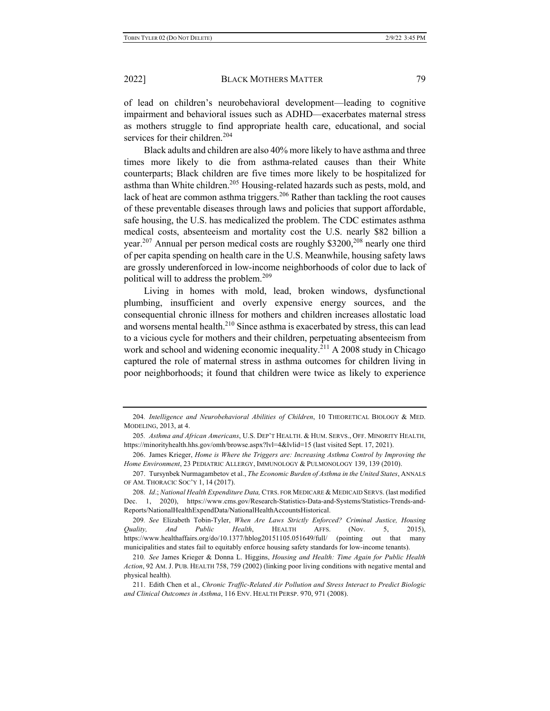of lead on children's neurobehavioral development—leading to cognitive impairment and behavioral issues such as ADHD—exacerbates maternal stress as mothers struggle to find appropriate health care, educational, and social services for their children.<sup>204</sup>

Black adults and children are also 40% more likely to have asthma and three times more likely to die from asthma-related causes than their White counterparts; Black children are five times more likely to be hospitalized for asthma than White children.<sup>205</sup> Housing-related hazards such as pests, mold, and lack of heat are common asthma triggers.<sup>206</sup> Rather than tackling the root causes of these preventable diseases through laws and policies that support affordable, safe housing, the U.S. has medicalized the problem. The CDC estimates asthma medical costs, absenteeism and mortality cost the U.S. nearly \$82 billion a year.<sup>207</sup> Annual per person medical costs are roughly \$3200,<sup>208</sup> nearly one third of per capita spending on health care in the U.S. Meanwhile, housing safety laws are grossly underenforced in low-income neighborhoods of color due to lack of political will to address the problem.<sup>209</sup>

Living in homes with mold, lead, broken windows, dysfunctional plumbing, insufficient and overly expensive energy sources, and the consequential chronic illness for mothers and children increases allostatic load and worsens mental health. $^{210}$  Since asthma is exacerbated by stress, this can lead to a vicious cycle for mothers and their children, perpetuating absenteeism from work and school and widening economic inequality.<sup>211</sup> A 2008 study in Chicago captured the role of maternal stress in asthma outcomes for children living in poor neighborhoods; it found that children were twice as likely to experience

<sup>204</sup>*. Intelligence and Neurobehavioral Abilities of Children*, 10 THEORETICAL BIOLOGY & MED. MODELING, 2013, at 4.

<sup>205</sup>*. Asthma and African Americans*, U.S. DEP'T HEALTH. & HUM. SERVS., OFF. MINORITY HEALTH, https://minorityhealth.hhs.gov/omh/browse.aspx?lvl=4&lvlid=15 (last visited Sept. 17, 2021).

<sup>206.</sup> James Krieger, *Home is Where the Triggers are: Increasing Asthma Control by Improving the Home Environment*, 23 PEDIATRIC ALLERGY, IMMUNOLOGY & PULMONOLOGY 139, 139 (2010).

<sup>207.</sup> Tursynbek Nurmagambetov et al., *The Economic Burden of Asthma in the United States*, ANNALS OF AM. THORACIC SOC'Y 1, 14 (2017).

<sup>208</sup>*. Id*.; *National Health Expenditure Data,* CTRS. FOR MEDICARE & MEDICAID SERVS. (last modified Dec. 1, 2020), https://www.cms.gov/Research-Statistics-Data-and-Systems/Statistics-Trends-and-Reports/NationalHealthExpendData/NationalHealthAccountsHistorical.

<sup>209</sup>*. See* Elizabeth Tobin-Tyler, *When Are Laws Strictly Enforced? Criminal Justice, Housing Quality, And Public Health*, HEALTH AFFS. (Nov. 5, 2015), https://www.healthaffairs.org/do/10.1377/hblog20151105.051649/full/ (pointing out that many municipalities and states fail to equitably enforce housing safety standards for low-income tenants).

<sup>210</sup>*. See* James Krieger & Donna L. Higgins, *Housing and Health: Time Again for Public Health Action*, 92 AM. J. PUB. HEALTH 758, 759 (2002) (linking poor living conditions with negative mental and physical health).

<sup>211.</sup> Edith Chen et al., *Chronic Traffic-Related Air Pollution and Stress Interact to Predict Biologic and Clinical Outcomes in Asthma*, 116 ENV. HEALTH PERSP. 970, 971 (2008).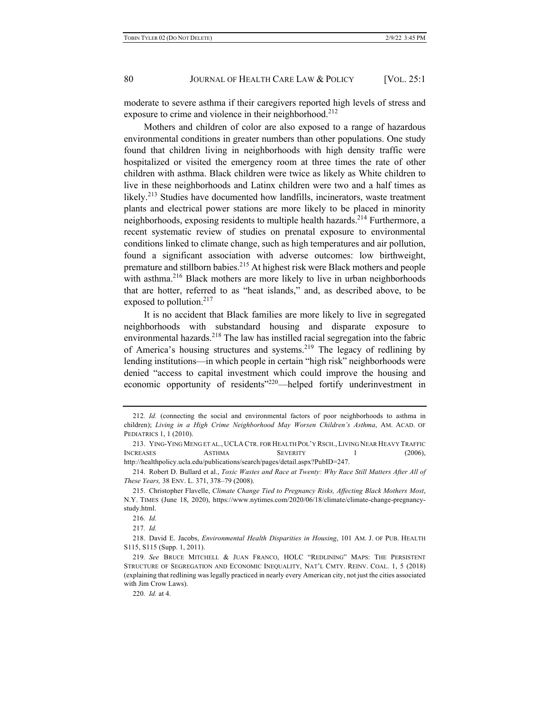moderate to severe asthma if their caregivers reported high levels of stress and exposure to crime and violence in their neighborhood.<sup>212</sup>

Mothers and children of color are also exposed to a range of hazardous environmental conditions in greater numbers than other populations. One study found that children living in neighborhoods with high density traffic were hospitalized or visited the emergency room at three times the rate of other children with asthma. Black children were twice as likely as White children to live in these neighborhoods and Latinx children were two and a half times as likely.<sup>213</sup> Studies have documented how landfills, incinerators, waste treatment plants and electrical power stations are more likely to be placed in minority neighborhoods, exposing residents to multiple health hazards.<sup>214</sup> Furthermore, a recent systematic review of studies on prenatal exposure to environmental conditions linked to climate change, such as high temperatures and air pollution, found a significant association with adverse outcomes: low birthweight, premature and stillborn babies.<sup>215</sup> At highest risk were Black mothers and people with asthma.<sup>216</sup> Black mothers are more likely to live in urban neighborhoods that are hotter, referred to as "heat islands," and, as described above, to be exposed to pollution. $217$ 

It is no accident that Black families are more likely to live in segregated neighborhoods with substandard housing and disparate exposure to environmental hazards.<sup>218</sup> The law has instilled racial segregation into the fabric of America's housing structures and systems.<sup>219</sup> The legacy of redlining by lending institutions—in which people in certain "high risk" neighborhoods were denied "access to capital investment which could improve the housing and economic opportunity of residents"<sup>220</sup>—helped fortify underinvestment in

<sup>212</sup>*. Id.* (connecting the social and environmental factors of poor neighborhoods to asthma in children); *Living in a High Crime Neighborhood May Worsen Children's Asthma*, AM. ACAD. OF PEDIATRICS 1, 1 (2010).

<sup>213.</sup> YING-YING MENG ET AL., UCLA CTR. FOR HEALTH POL'Y RSCH., LIVING NEAR HEAVY TRAFFIC INCREASES ASTHMA SEVERITY 1 (2006), http://healthpolicy.ucla.edu/publications/search/pages/detail.aspx?PubID=247.

<sup>214.</sup> Robert D. Bullard et al., *Toxic Wastes and Race at Twenty: Why Race Still Matters After All of These Years,* 38 ENV. L. 371, 378–79 (2008).

<sup>215.</sup> Christopher Flavelle, *Climate Change Tied to Pregnancy Risks, Affecting Black Mothers Most*, N.Y. TIMES (June 18, 2020), https://www.nytimes.com/2020/06/18/climate/climate-change-pregnancystudy.html.

<sup>216</sup>*. Id.*

<sup>217</sup>*. Id.*

<sup>218.</sup> David E. Jacobs, *Environmental Health Disparities in Housing*, 101 AM. J. OF PUB. HEALTH S115, S115 (Supp. 1, 2011).

<sup>219</sup>*. See* BRUCE MITCHELL & JUAN FRANCO, HOLC "REDLINING" MAPS: THE PERSISTENT STRUCTURE OF SEGREGATION AND ECONOMIC INEQUALITY, NAT'L CMTY. REINV. COAL. 1, 5 (2018) (explaining that redlining was legally practiced in nearly every American city, not just the cities associated with Jim Crow Laws).

<sup>220</sup>*. Id.* at 4.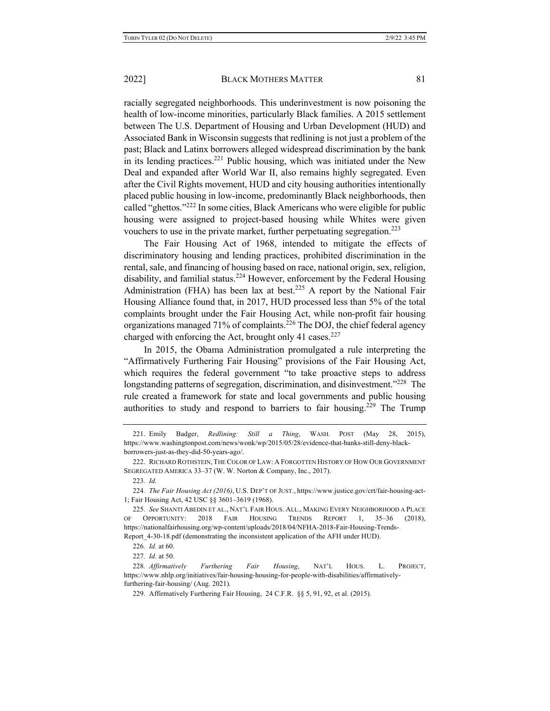racially segregated neighborhoods. This underinvestment is now poisoning the health of low-income minorities, particularly Black families. A 2015 settlement between The U.S. Department of Housing and Urban Development (HUD) and Associated Bank in Wisconsin suggests that redlining is not just a problem of the past; Black and Latinx borrowers alleged widespread discrimination by the bank in its lending practices.<sup>221</sup> Public housing, which was initiated under the New Deal and expanded after World War II, also remains highly segregated. Even after the Civil Rights movement, HUD and city housing authorities intentionally placed public housing in low-income, predominantly Black neighborhoods, then called "ghettos."<sup>222</sup> In some cities, Black Americans who were eligible for public housing were assigned to project-based housing while Whites were given vouchers to use in the private market, further perpetuating segregation.<sup>223</sup>

The Fair Housing Act of 1968, intended to mitigate the effects of discriminatory housing and lending practices, prohibited discrimination in the rental, sale, and financing of housing based on race, national origin, sex, religion, disability, and familial status.<sup>224</sup> However, enforcement by the Federal Housing Administration (FHA) has been lax at best.<sup>225</sup> A report by the National Fair Housing Alliance found that, in 2017, HUD processed less than 5% of the total complaints brought under the Fair Housing Act, while non-profit fair housing organizations managed 71% of complaints.<sup>226</sup> The DOJ, the chief federal agency charged with enforcing the Act, brought only 41 cases. $227$ 

In 2015, the Obama Administration promulgated a rule interpreting the "Affirmatively Furthering Fair Housing" provisions of the Fair Housing Act, which requires the federal government "to take proactive steps to address longstanding patterns of segregation, discrimination, and disinvestment."<sup>228</sup> The rule created a framework for state and local governments and public housing authorities to study and respond to barriers to fair housing.<sup>229</sup> The Trump

223*. Id.*

<sup>221.</sup> Emily Badger, *Redlining: Still a Thing*, WASH. POST (May 28, 2015), https://www.washingtonpost.com/news/wonk/wp/2015/05/28/evidence-that-banks-still-deny-blackborrowers-just-as-they-did-50-years-ago/.

<sup>222.</sup> RICHARD ROTHSTEIN, THE COLOR OF LAW: A FORGOTTEN HISTORY OF HOW OUR GOVERNMENT SEGREGATED AMERICA 33–37 (W. W. Norton & Company, Inc., 2017).

<sup>224</sup>*. The Fair Housing Act (2016)*, U.S. DEP'T OF JUST., https://www.justice.gov/crt/fair-housing-act-1; Fair Housing Act, 42 USC §§ 3601–3619 (1968).

<sup>225</sup>*. See* SHANTI ABEDIN ET AL., NAT'L FAIR HOUS. ALL., MAKING EVERY NEIGHBORHOOD A PLACE OF OPPORTUNITY: 2018 FAIR HOUSING TRENDS REPORT 1, 35–36 (2018), https://nationalfairhousing.org/wp-content/uploads/2018/04/NFHA-2018-Fair-Housing-Trends-Report 4-30-18.pdf (demonstrating the inconsistent application of the AFH under HUD).

<sup>226</sup>*. Id.* at 60.

<sup>227</sup>*. Id.* at 50.

<sup>228</sup>*. Affirmatively Furthering Fair Housing*, NAT'L HOUS. L. PROJECT, https://www.nhlp.org/initiatives/fair-housing-housing-for-people-with-disabilities/affirmativelyfurthering-fair-housing/ (Aug. 2021).

<sup>229.</sup> Affirmatively Furthering Fair Housing, 24 C.F.R. §§ 5, 91, 92, et al. (2015).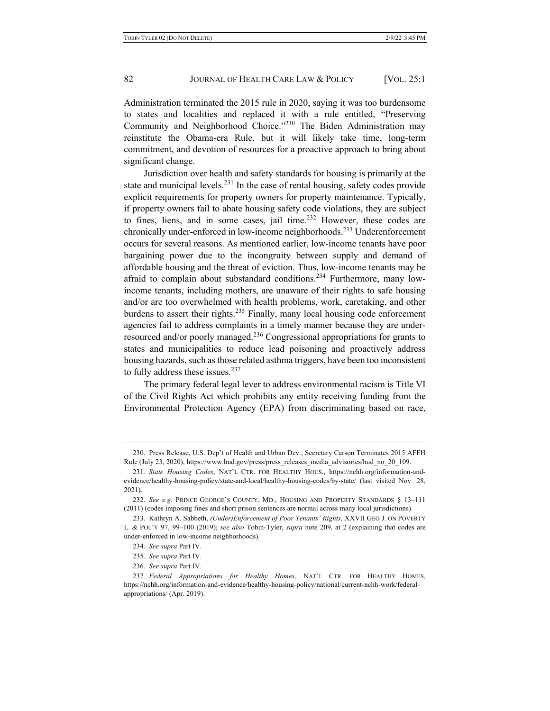Administration terminated the 2015 rule in 2020, saying it was too burdensome to states and localities and replaced it with a rule entitled, "Preserving Community and Neighborhood Choice."230 The Biden Administration may reinstitute the Obama-era Rule, but it will likely take time, long-term commitment, and devotion of resources for a proactive approach to bring about significant change.

Jurisdiction over health and safety standards for housing is primarily at the state and municipal levels.<sup>231</sup> In the case of rental housing, safety codes provide explicit requirements for property owners for property maintenance. Typically, if property owners fail to abate housing safety code violations, they are subject to fines, liens, and in some cases, jail time. $232$  However, these codes are chronically under-enforced in low-income neighborhoods.<sup>233</sup> Underenforcement occurs for several reasons. As mentioned earlier, low-income tenants have poor bargaining power due to the incongruity between supply and demand of affordable housing and the threat of eviction. Thus, low-income tenants may be afraid to complain about substandard conditions.<sup>234</sup> Furthermore, many lowincome tenants, including mothers, are unaware of their rights to safe housing and/or are too overwhelmed with health problems, work, caretaking, and other burdens to assert their rights.<sup>235</sup> Finally, many local housing code enforcement agencies fail to address complaints in a timely manner because they are underresourced and/or poorly managed.<sup>236</sup> Congressional appropriations for grants to states and municipalities to reduce lead poisoning and proactively address housing hazards, such as those related asthma triggers, have been too inconsistent to fully address these issues. $237$ 

The primary federal legal lever to address environmental racism is Title VI of the Civil Rights Act which prohibits any entity receiving funding from the Environmental Protection Agency (EPA) from discriminating based on race,

<sup>230.</sup> Press Release, U.S. Dep't of Health and Urban Dev., Secretary Carson Terminates 2015 AFFH Rule (July 23, 2020), https://www.hud.gov/press/press\_releases\_media\_advisories/hud\_no\_20\_109.

<sup>231</sup>*. State Housing Codes*, NAT'L CTR. FOR HEALTHY HOUS., https://nchh.org/information-andevidence/healthy-housing-policy/state-and-local/healthy-housing-codes/by-state/ (last visited Nov. 28, 2021).

<sup>232</sup>*. See e.g.* PRINCE GEORGE'S COUNTY, MD., HOUSING AND PROPERTY STANDARDS § 13–111 (2011) (codes imposing fines and short prison sentences are normal across many local jurisdictions).

<sup>233.</sup> Kathryn A. Sabbeth, *(Under)Enforcement of Poor Tenants' Rights*, XXVII GEO J. ON POVERTY L. & POL'Y 97, 99–100 (2019); *see also* Tobin-Tyler, *supra* note 209, at 2 (explaining that codes are under-enforced in low-income neighborhoods).

<sup>234</sup>*. See supra* Part IV.

<sup>235</sup>*. See supra* Part IV.

<sup>236</sup>*. See supra* Part IV.

<sup>237</sup>*. Federal Appropriations for Healthy Homes*, NAT'L CTR. FOR HEALTHY HOMES, https://nchh.org/information-and-evidence/healthy-housing-policy/national/current-nchh-work/federalappropriations/ (Apr. 2019).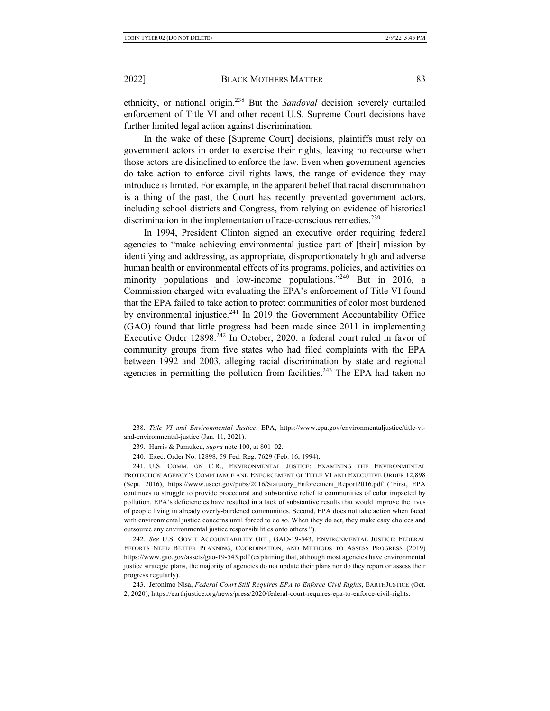ethnicity, or national origin.<sup>238</sup> But the *Sandoval* decision severely curtailed enforcement of Title VI and other recent U.S. Supreme Court decisions have further limited legal action against discrimination.

In the wake of these [Supreme Court] decisions, plaintiffs must rely on government actors in order to exercise their rights, leaving no recourse when those actors are disinclined to enforce the law. Even when government agencies do take action to enforce civil rights laws, the range of evidence they may introduce is limited. For example, in the apparent belief that racial discrimination is a thing of the past, the Court has recently prevented government actors, including school districts and Congress, from relying on evidence of historical discrimination in the implementation of race-conscious remedies.<sup>239</sup>

In 1994, President Clinton signed an executive order requiring federal agencies to "make achieving environmental justice part of [their] mission by identifying and addressing, as appropriate, disproportionately high and adverse human health or environmental effects of its programs, policies, and activities on minority populations and low-income populations."<sup>240</sup> But in 2016, a Commission charged with evaluating the EPA's enforcement of Title VI found that the EPA failed to take action to protect communities of color most burdened by environmental injustice.<sup>241</sup> In 2019 the Government Accountability Office (GAO) found that little progress had been made since 2011 in implementing Executive Order 12898.<sup>242</sup> In October, 2020, a federal court ruled in favor of community groups from five states who had filed complaints with the EPA between 1992 and 2003, alleging racial discrimination by state and regional agencies in permitting the pollution from facilities.<sup>243</sup> The EPA had taken no

242*. See* U.S. GOV'T ACCOUNTABILITY OFF., GAO-19-543, ENVIRONMENTAL JUSTICE: FEDERAL EFFORTS NEED BETTER PLANNING, COORDINATION, AND METHODS TO ASSESS PROGRESS (2019) https://www.gao.gov/assets/gao-19-543.pdf (explaining that, although most agencies have environmental justice strategic plans, the majority of agencies do not update their plans nor do they report or assess their progress regularly).

243. Jeronimo Nisa, *Federal Court Still Requires EPA to Enforce Civil Rights*, EARTHJUSTICE (Oct. 2, 2020), https://earthjustice.org/news/press/2020/federal-court-requires-epa-to-enforce-civil-rights.

<sup>238</sup>*. Title VI and Environmental Justice*, EPA, https://www.epa.gov/environmentaljustice/title-viand-environmental-justice (Jan. 11, 2021).

<sup>239.</sup> Harris & Pamukcu, *supra* note 100, at 801–02.

<sup>240.</sup> Exec. Order No. 12898, 59 Fed. Reg. 7629 (Feb. 16, 1994).

<sup>241.</sup> U.S. COMM. ON C.R., ENVIRONMENTAL JUSTICE: EXAMINING THE ENVIRONMENTAL PROTECTION AGENCY'S COMPLIANCE AND ENFORCEMENT OF TITLE VI AND EXECUTIVE ORDER 12,898 (Sept. 2016), https://www.usccr.gov/pubs/2016/Statutory\_Enforcement\_Report2016.pdf ("First, EPA continues to struggle to provide procedural and substantive relief to communities of color impacted by pollution. EPA's deficiencies have resulted in a lack of substantive results that would improve the lives of people living in already overly-burdened communities. Second, EPA does not take action when faced with environmental justice concerns until forced to do so. When they do act, they make easy choices and outsource any environmental justice responsibilities onto others.").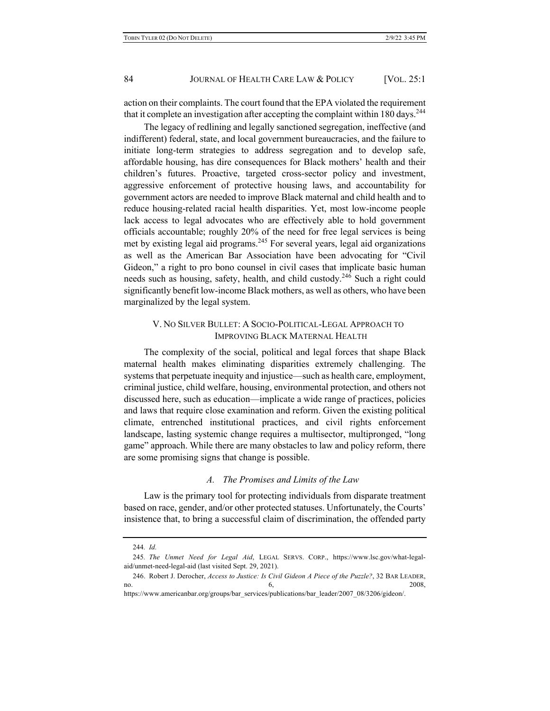action on their complaints. The court found that the EPA violated the requirement that it complete an investigation after accepting the complaint within 180 days.<sup>244</sup>

The legacy of redlining and legally sanctioned segregation, ineffective (and indifferent) federal, state, and local government bureaucracies, and the failure to initiate long-term strategies to address segregation and to develop safe, affordable housing, has dire consequences for Black mothers' health and their children's futures. Proactive, targeted cross-sector policy and investment, aggressive enforcement of protective housing laws, and accountability for government actors are needed to improve Black maternal and child health and to reduce housing-related racial health disparities. Yet, most low-income people lack access to legal advocates who are effectively able to hold government officials accountable; roughly 20% of the need for free legal services is being met by existing legal aid programs.<sup>245</sup> For several years, legal aid organizations as well as the American Bar Association have been advocating for "Civil Gideon," a right to pro bono counsel in civil cases that implicate basic human needs such as housing, safety, health, and child custody.<sup>246</sup> Such a right could significantly benefit low-income Black mothers, as well as others, who have been marginalized by the legal system.

# V. NO SILVER BULLET: A SOCIO-POLITICAL-LEGAL APPROACH TO IMPROVING BLACK MATERNAL HEALTH

The complexity of the social, political and legal forces that shape Black maternal health makes eliminating disparities extremely challenging. The systems that perpetuate inequity and injustice—such as health care, employment, criminal justice, child welfare, housing, environmental protection, and others not discussed here, such as education—implicate a wide range of practices, policies and laws that require close examination and reform. Given the existing political climate, entrenched institutional practices, and civil rights enforcement landscape, lasting systemic change requires a multisector, multipronged, "long game" approach. While there are many obstacles to law and policy reform, there are some promising signs that change is possible.

### *A. The Promises and Limits of the Law*

Law is the primary tool for protecting individuals from disparate treatment based on race, gender, and/or other protected statuses. Unfortunately, the Courts' insistence that, to bring a successful claim of discrimination, the offended party

<sup>244</sup>*. Id.*

<sup>245</sup>*. The Unmet Need for Legal Aid*, LEGAL SERVS. CORP., https://www.lsc.gov/what-legalaid/unmet-need-legal-aid (last visited Sept. 29, 2021).

<sup>246.</sup> Robert J. Derocher, *Access to Justice: Is Civil Gideon A Piece of the Puzzle?*, 32 BAR LEADER, no.  $\qquad \qquad 6, \qquad \qquad 2008,$ 

https://www.americanbar.org/groups/bar\_services/publications/bar\_leader/2007\_08/3206/gideon/.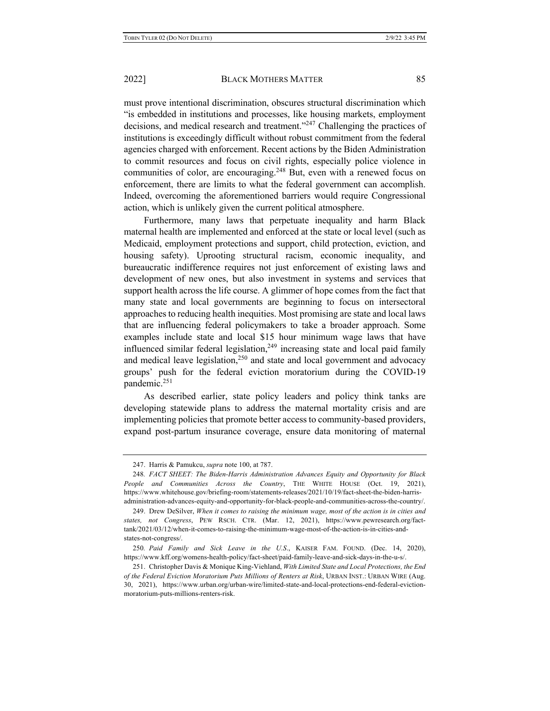must prove intentional discrimination, obscures structural discrimination which "is embedded in institutions and processes, like housing markets, employment decisions, and medical research and treatment."<sup>247</sup> Challenging the practices of institutions is exceedingly difficult without robust commitment from the federal agencies charged with enforcement. Recent actions by the Biden Administration to commit resources and focus on civil rights, especially police violence in communities of color, are encouraging.<sup>248</sup> But, even with a renewed focus on enforcement, there are limits to what the federal government can accomplish. Indeed, overcoming the aforementioned barriers would require Congressional action, which is unlikely given the current political atmosphere.

Furthermore, many laws that perpetuate inequality and harm Black maternal health are implemented and enforced at the state or local level (such as Medicaid, employment protections and support, child protection, eviction, and housing safety). Uprooting structural racism, economic inequality, and bureaucratic indifference requires not just enforcement of existing laws and development of new ones, but also investment in systems and services that support health across the life course. A glimmer of hope comes from the fact that many state and local governments are beginning to focus on intersectoral approaches to reducing health inequities. Most promising are state and local laws that are influencing federal policymakers to take a broader approach. Some examples include state and local \$15 hour minimum wage laws that have influenced similar federal legislation, $249$  increasing state and local paid family and medical leave legislation, $250$  and state and local government and advocacy groups' push for the federal eviction moratorium during the COVID-19 pandemic.<sup>251</sup>

As described earlier, state policy leaders and policy think tanks are developing statewide plans to address the maternal mortality crisis and are implementing policies that promote better access to community-based providers, expand post-partum insurance coverage, ensure data monitoring of maternal

<sup>247.</sup> Harris & Pamukcu, *supra* note 100, at 787.

<sup>248</sup>*. FACT SHEET: The Biden-Harris Administration Advances Equity and Opportunity for Black People and Communities Across the Country*, THE WHITE HOUSE (Oct. 19, 2021), https://www.whitehouse.gov/briefing-room/statements-releases/2021/10/19/fact-sheet-the-biden-harrisadministration-advances-equity-and-opportunity-for-black-people-and-communities-across-the-country/.

<sup>249.</sup> Drew DeSilver, *When it comes to raising the minimum wage, most of the action is in cities and states, not Congress*, PEW RSCH. CTR. (Mar. 12, 2021), https://www.pewresearch.org/facttank/2021/03/12/when-it-comes-to-raising-the-minimum-wage-most-of-the-action-is-in-cities-andstates-not-congress/.

<sup>250</sup>*. Paid Family and Sick Leave in the U.S*., KAISER FAM. FOUND. (Dec. 14, 2020), https://www.kff.org/womens-health-policy/fact-sheet/paid-family-leave-and-sick-days-in-the-u-s/.

<sup>251.</sup> Christopher Davis & Monique King-Viehland, *With Limited State and Local Protections, the End of the Federal Eviction Moratorium Puts Millions of Renters at Risk*, URBAN INST.: URBAN WIRE (Aug. 30, 2021), https://www.urban.org/urban-wire/limited-state-and-local-protections-end-federal-evictionmoratorium-puts-millions-renters-risk.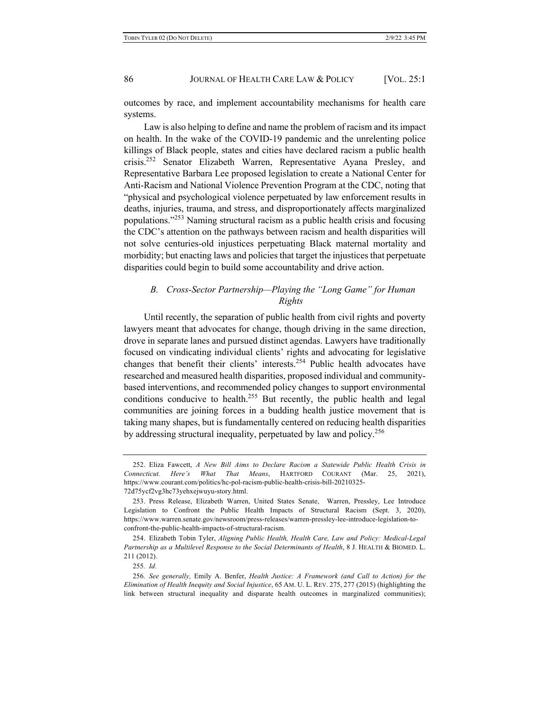outcomes by race, and implement accountability mechanisms for health care systems.

Law is also helping to define and name the problem of racism and its impact on health. In the wake of the COVID-19 pandemic and the unrelenting police killings of Black people, states and cities have declared racism a public health crisis.252 Senator Elizabeth Warren, Representative Ayana Presley, and Representative Barbara Lee proposed legislation to create a National Center for Anti-Racism and National Violence Prevention Program at the CDC, noting that "physical and psychological violence perpetuated by law enforcement results in deaths, injuries, trauma, and stress, and disproportionately affects marginalized populations."<sup>253</sup> Naming structural racism as a public health crisis and focusing the CDC's attention on the pathways between racism and health disparities will not solve centuries-old injustices perpetuating Black maternal mortality and morbidity; but enacting laws and policies that target the injustices that perpetuate disparities could begin to build some accountability and drive action.

# *B. Cross-Sector Partnership—Playing the "Long Game" for Human Rights*

Until recently, the separation of public health from civil rights and poverty lawyers meant that advocates for change, though driving in the same direction, drove in separate lanes and pursued distinct agendas. Lawyers have traditionally focused on vindicating individual clients' rights and advocating for legislative changes that benefit their clients' interests.<sup>254</sup> Public health advocates have researched and measured health disparities, proposed individual and communitybased interventions, and recommended policy changes to support environmental conditions conducive to health.<sup>255</sup> But recently, the public health and legal communities are joining forces in a budding health justice movement that is taking many shapes, but is fundamentally centered on reducing health disparities by addressing structural inequality, perpetuated by law and policy.<sup>256</sup>

<sup>252.</sup> Eliza Fawcett, *A New Bill Aims to Declare Racism a Statewide Public Health Crisis in Connecticut. Here's What That Means*, HARTFORD COURANT (Mar. 25, 2021), https://www.courant.com/politics/hc-pol-racism-public-health-crisis-bill-20210325- 72d75ycf2vg3hc73yehxejwuyu-story.html.

<sup>253.</sup> Press Release, Elizabeth Warren, United States Senate, Warren, Pressley, Lee Introduce Legislation to Confront the Public Health Impacts of Structural Racism (Sept. 3, 2020), https://www.warren.senate.gov/newsroom/press-releases/warren-pressley-lee-introduce-legislation-toconfront-the-public-health-impacts-of-structural-racism.

<sup>254.</sup> Elizabeth Tobin Tyler, *Aligning Public Health, Health Care, Law and Policy: Medical-Legal Partnership as a Multilevel Response to the Social Determinants of Health*, 8 J. HEALTH & BIOMED. L. 211 (2012).

<sup>255</sup>*. Id.*

<sup>256</sup>*. See generally,* Emily A. Benfer, *Health Justice: A Framework (and Call to Action) for the Elimination of Health Inequity and Social Injustice*, 65 AM. U. L. REV. 275, 277 (2015) (highlighting the link between structural inequality and disparate health outcomes in marginalized communities);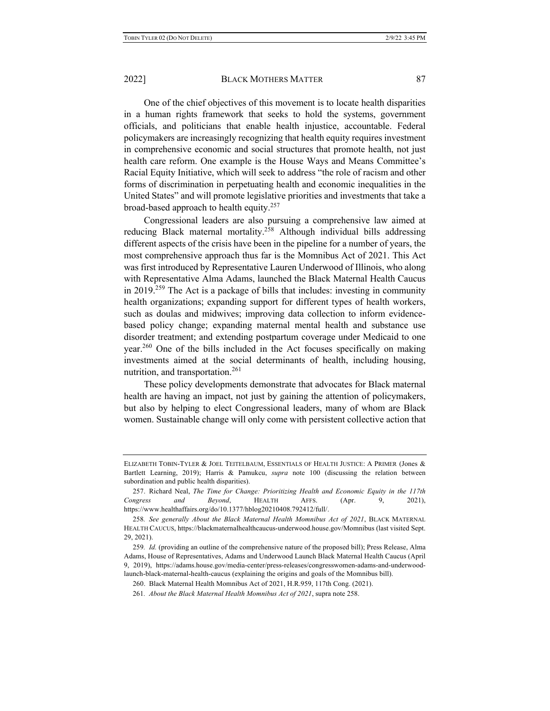One of the chief objectives of this movement is to locate health disparities in a human rights framework that seeks to hold the systems, government officials, and politicians that enable health injustice, accountable. Federal policymakers are increasingly recognizing that health equity requires investment in comprehensive economic and social structures that promote health, not just health care reform. One example is the House Ways and Means Committee's Racial Equity Initiative, which will seek to address "the role of racism and other forms of discrimination in perpetuating health and economic inequalities in the United States" and will promote legislative priorities and investments that take a broad-based approach to health equity.<sup>257</sup>

Congressional leaders are also pursuing a comprehensive law aimed at reducing Black maternal mortality.<sup>258</sup> Although individual bills addressing different aspects of the crisis have been in the pipeline for a number of years, the most comprehensive approach thus far is the Momnibus Act of 2021. This Act was first introduced by Representative Lauren Underwood of Illinois, who along with Representative Alma Adams, launched the Black Maternal Health Caucus in  $2019<sup>259</sup>$  The Act is a package of bills that includes: investing in community health organizations; expanding support for different types of health workers, such as doulas and midwives; improving data collection to inform evidencebased policy change; expanding maternal mental health and substance use disorder treatment; and extending postpartum coverage under Medicaid to one year.260 One of the bills included in the Act focuses specifically on making investments aimed at the social determinants of health, including housing, nutrition, and transportation.<sup>261</sup>

These policy developments demonstrate that advocates for Black maternal health are having an impact, not just by gaining the attention of policymakers, but also by helping to elect Congressional leaders, many of whom are Black women. Sustainable change will only come with persistent collective action that

ELIZABETH TOBIN-TYLER & JOEL TEITELBAUM, ESSENTIALS OF HEALTH JUSTICE: A PRIMER (Jones & Bartlett Learning, 2019); Harris & Pamukcu, *supra* note 100 (discussing the relation between subordination and public health disparities).

<sup>257.</sup> Richard Neal, *The Time for Change: Prioritizing Health and Economic Equity in the 117th Congress and Beyond*, HEALTH AFFS. (Apr. 9, 2021), https://www.healthaffairs.org/do/10.1377/hblog20210408.792412/full/.

<sup>258</sup>*. See generally About the Black Maternal Health Momnibus Act of 2021*, BLACK MATERNAL HEALTH CAUCUS, https://blackmaternalhealthcaucus-underwood.house.gov/Momnibus (last visited Sept. 29, 2021).

<sup>259</sup>*. Id.* (providing an outline of the comprehensive nature of the proposed bill); Press Release, Alma Adams, House of Representatives, Adams and Underwood Launch Black Maternal Health Caucus (April 9, 2019), https://adams.house.gov/media-center/press-releases/congresswomen-adams-and-underwoodlaunch-black-maternal-health-caucus (explaining the origins and goals of the Momnibus bill).

<sup>260.</sup> Black Maternal Health Momnibus Act of 2021, H.R.959, 117th Cong. (2021).

<sup>261</sup>*. About the Black Maternal Health Momnibus Act of 2021*, supra note 258.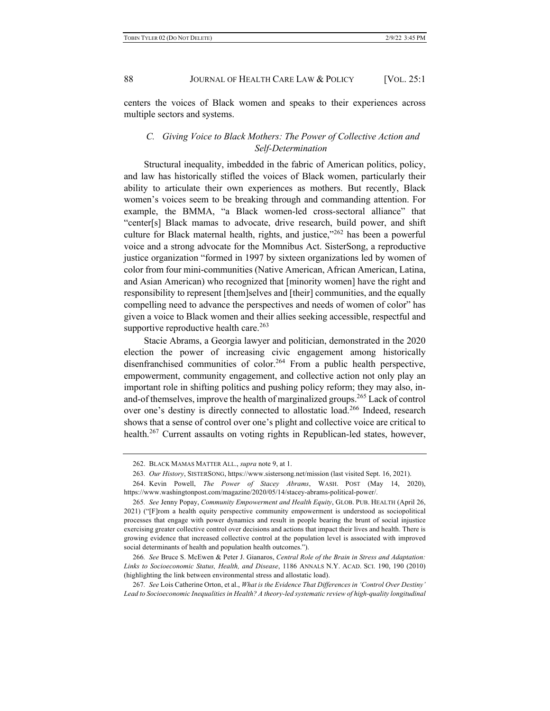centers the voices of Black women and speaks to their experiences across multiple sectors and systems.

# *C. Giving Voice to Black Mothers: The Power of Collective Action and Self-Determination*

Structural inequality, imbedded in the fabric of American politics, policy, and law has historically stifled the voices of Black women, particularly their ability to articulate their own experiences as mothers. But recently, Black women's voices seem to be breaking through and commanding attention. For example, the BMMA, "a Black women-led cross-sectoral alliance" that "center[s] Black mamas to advocate, drive research, build power, and shift culture for Black maternal health, rights, and justice," $262$  has been a powerful voice and a strong advocate for the Momnibus Act. SisterSong, a reproductive justice organization "formed in 1997 by sixteen organizations led by women of color from four mini-communities (Native American, African American, Latina, and Asian American) who recognized that [minority women] have the right and responsibility to represent [them]selves and [their] communities, and the equally compelling need to advance the perspectives and needs of women of color" has given a voice to Black women and their allies seeking accessible, respectful and supportive reproductive health care. $263$ 

Stacie Abrams, a Georgia lawyer and politician, demonstrated in the 2020 election the power of increasing civic engagement among historically disenfranchised communities of color.<sup>264</sup> From a public health perspective, empowerment, community engagement, and collective action not only play an important role in shifting politics and pushing policy reform; they may also, inand-of themselves, improve the health of marginalized groups.<sup>265</sup> Lack of control over one's destiny is directly connected to allostatic load.<sup>266</sup> Indeed, research shows that a sense of control over one's plight and collective voice are critical to health.<sup>267</sup> Current assaults on voting rights in Republican-led states, however,

<sup>262.</sup> BLACK MAMAS MATTER ALL., *supra* note 9, at 1.

<sup>263</sup>*. Our History*, SISTERSONG, https://www.sistersong.net/mission (last visited Sept. 16, 2021).

<sup>264.</sup> Kevin Powell, *The Power of Stacey Abrams*, WASH. POST (May 14, 2020), https://www.washingtonpost.com/magazine/2020/05/14/stacey-abrams-political-power/.

<sup>265</sup>*. See* Jenny Popay, *Community Empowerment and Health Equity*, GLOB. PUB. HEALTH (April 26, 2021) ("[F]rom a health equity perspective community empowerment is understood as sociopolitical processes that engage with power dynamics and result in people bearing the brunt of social injustice exercising greater collective control over decisions and actions that impact their lives and health. There is growing evidence that increased collective control at the population level is associated with improved social determinants of health and population health outcomes.").

<sup>266</sup>*. See* Bruce S. McEwen & Peter J. Gianaros, *Central Role of the Brain in Stress and Adaptation: Links to Socioeconomic Status, Health, and Disease*, 1186 ANNALS N.Y. ACAD. SCI. 190, 190 (2010) (highlighting the link between environmental stress and allostatic load).

<sup>267</sup>*. See* Lois Catherine Orton, et al., *What is the Evidence That Differences in 'Control Over Destiny' Lead to Socioeconomic Inequalities in Health? A theory-led systematic review of high-quality longitudinal*